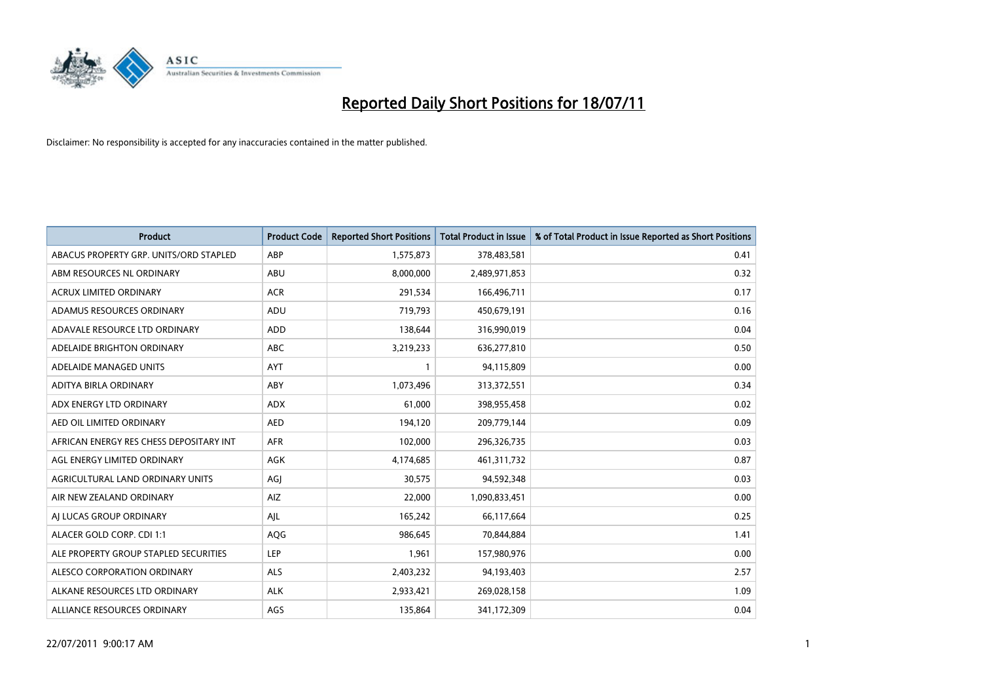

| Product                                 | <b>Product Code</b> | <b>Reported Short Positions</b> | <b>Total Product in Issue</b> | % of Total Product in Issue Reported as Short Positions |
|-----------------------------------------|---------------------|---------------------------------|-------------------------------|---------------------------------------------------------|
| ABACUS PROPERTY GRP. UNITS/ORD STAPLED  | ABP                 | 1,575,873                       | 378,483,581                   | 0.41                                                    |
| ABM RESOURCES NL ORDINARY               | ABU                 | 8,000,000                       | 2,489,971,853                 | 0.32                                                    |
| <b>ACRUX LIMITED ORDINARY</b>           | <b>ACR</b>          | 291,534                         | 166,496,711                   | 0.17                                                    |
| ADAMUS RESOURCES ORDINARY               | ADU                 | 719,793                         | 450,679,191                   | 0.16                                                    |
| ADAVALE RESOURCE LTD ORDINARY           | <b>ADD</b>          | 138,644                         | 316,990,019                   | 0.04                                                    |
| ADELAIDE BRIGHTON ORDINARY              | ABC                 | 3,219,233                       | 636,277,810                   | 0.50                                                    |
| ADELAIDE MANAGED UNITS                  | <b>AYT</b>          |                                 | 94,115,809                    | 0.00                                                    |
| ADITYA BIRLA ORDINARY                   | ABY                 | 1,073,496                       | 313,372,551                   | 0.34                                                    |
| ADX ENERGY LTD ORDINARY                 | <b>ADX</b>          | 61,000                          | 398,955,458                   | 0.02                                                    |
| AED OIL LIMITED ORDINARY                | <b>AED</b>          | 194,120                         | 209,779,144                   | 0.09                                                    |
| AFRICAN ENERGY RES CHESS DEPOSITARY INT | <b>AFR</b>          | 102,000                         | 296,326,735                   | 0.03                                                    |
| AGL ENERGY LIMITED ORDINARY             | AGK                 | 4,174,685                       | 461,311,732                   | 0.87                                                    |
| AGRICULTURAL LAND ORDINARY UNITS        | AGJ                 | 30,575                          | 94,592,348                    | 0.03                                                    |
| AIR NEW ZEALAND ORDINARY                | AIZ                 | 22,000                          | 1,090,833,451                 | 0.00                                                    |
| AI LUCAS GROUP ORDINARY                 | AJL                 | 165,242                         | 66,117,664                    | 0.25                                                    |
| ALACER GOLD CORP. CDI 1:1               | AQG                 | 986,645                         | 70,844,884                    | 1.41                                                    |
| ALE PROPERTY GROUP STAPLED SECURITIES   | LEP                 | 1,961                           | 157,980,976                   | 0.00                                                    |
| ALESCO CORPORATION ORDINARY             | <b>ALS</b>          | 2,403,232                       | 94,193,403                    | 2.57                                                    |
| ALKANE RESOURCES LTD ORDINARY           | <b>ALK</b>          | 2,933,421                       | 269,028,158                   | 1.09                                                    |
| ALLIANCE RESOURCES ORDINARY             | AGS                 | 135,864                         | 341,172,309                   | 0.04                                                    |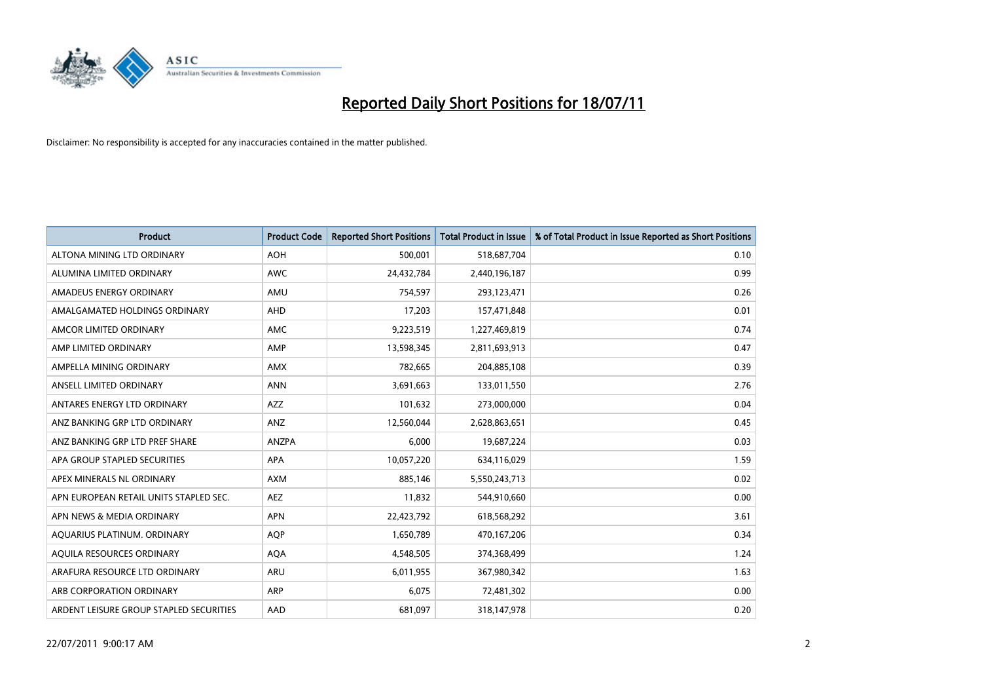

| <b>Product</b>                          | <b>Product Code</b> | <b>Reported Short Positions</b> | <b>Total Product in Issue</b> | % of Total Product in Issue Reported as Short Positions |
|-----------------------------------------|---------------------|---------------------------------|-------------------------------|---------------------------------------------------------|
| ALTONA MINING LTD ORDINARY              | <b>AOH</b>          | 500,001                         | 518,687,704                   | 0.10                                                    |
| ALUMINA LIMITED ORDINARY                | <b>AWC</b>          | 24,432,784                      | 2,440,196,187                 | 0.99                                                    |
| AMADEUS ENERGY ORDINARY                 | AMU                 | 754,597                         | 293,123,471                   | 0.26                                                    |
| AMALGAMATED HOLDINGS ORDINARY           | AHD                 | 17,203                          | 157,471,848                   | 0.01                                                    |
| AMCOR LIMITED ORDINARY                  | AMC                 | 9,223,519                       | 1,227,469,819                 | 0.74                                                    |
| AMP LIMITED ORDINARY                    | AMP                 | 13,598,345                      | 2,811,693,913                 | 0.47                                                    |
| AMPELLA MINING ORDINARY                 | <b>AMX</b>          | 782,665                         | 204,885,108                   | 0.39                                                    |
| ANSELL LIMITED ORDINARY                 | <b>ANN</b>          | 3,691,663                       | 133,011,550                   | 2.76                                                    |
| ANTARES ENERGY LTD ORDINARY             | AZZ                 | 101,632                         | 273,000,000                   | 0.04                                                    |
| ANZ BANKING GRP LTD ORDINARY            | ANZ                 | 12,560,044                      | 2,628,863,651                 | 0.45                                                    |
| ANZ BANKING GRP LTD PREF SHARE          | ANZPA               | 6,000                           | 19,687,224                    | 0.03                                                    |
| APA GROUP STAPLED SECURITIES            | <b>APA</b>          | 10,057,220                      | 634,116,029                   | 1.59                                                    |
| APEX MINERALS NL ORDINARY               | <b>AXM</b>          | 885,146                         | 5,550,243,713                 | 0.02                                                    |
| APN EUROPEAN RETAIL UNITS STAPLED SEC.  | AEZ                 | 11,832                          | 544,910,660                   | 0.00                                                    |
| APN NEWS & MEDIA ORDINARY               | <b>APN</b>          | 22,423,792                      | 618,568,292                   | 3.61                                                    |
| AQUARIUS PLATINUM. ORDINARY             | <b>AOP</b>          | 1,650,789                       | 470,167,206                   | 0.34                                                    |
| AQUILA RESOURCES ORDINARY               | <b>AQA</b>          | 4,548,505                       | 374,368,499                   | 1.24                                                    |
| ARAFURA RESOURCE LTD ORDINARY           | ARU                 | 6,011,955                       | 367,980,342                   | 1.63                                                    |
| ARB CORPORATION ORDINARY                | <b>ARP</b>          | 6,075                           | 72,481,302                    | 0.00                                                    |
| ARDENT LEISURE GROUP STAPLED SECURITIES | AAD                 | 681,097                         | 318,147,978                   | 0.20                                                    |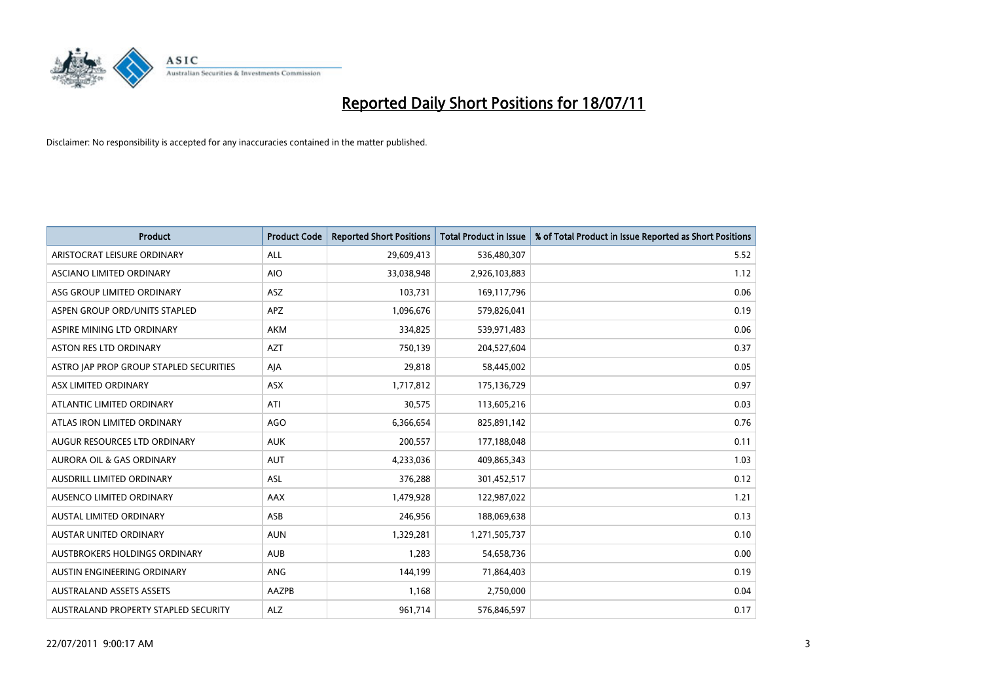

| <b>Product</b>                          | <b>Product Code</b> | <b>Reported Short Positions</b> | <b>Total Product in Issue</b> | % of Total Product in Issue Reported as Short Positions |
|-----------------------------------------|---------------------|---------------------------------|-------------------------------|---------------------------------------------------------|
| ARISTOCRAT LEISURE ORDINARY             | ALL                 | 29,609,413                      | 536,480,307                   | 5.52                                                    |
| ASCIANO LIMITED ORDINARY                | <b>AIO</b>          | 33,038,948                      | 2,926,103,883                 | 1.12                                                    |
| ASG GROUP LIMITED ORDINARY              | ASZ                 | 103,731                         | 169,117,796                   | 0.06                                                    |
| ASPEN GROUP ORD/UNITS STAPLED           | <b>APZ</b>          | 1,096,676                       | 579,826,041                   | 0.19                                                    |
| ASPIRE MINING LTD ORDINARY              | AKM                 | 334,825                         | 539,971,483                   | 0.06                                                    |
| <b>ASTON RES LTD ORDINARY</b>           | <b>AZT</b>          | 750,139                         | 204,527,604                   | 0.37                                                    |
| ASTRO JAP PROP GROUP STAPLED SECURITIES | AJA                 | 29,818                          | 58,445,002                    | 0.05                                                    |
| ASX LIMITED ORDINARY                    | ASX                 | 1,717,812                       | 175,136,729                   | 0.97                                                    |
| ATLANTIC LIMITED ORDINARY               | ATI                 | 30,575                          | 113,605,216                   | 0.03                                                    |
| ATLAS IRON LIMITED ORDINARY             | <b>AGO</b>          | 6,366,654                       | 825,891,142                   | 0.76                                                    |
| AUGUR RESOURCES LTD ORDINARY            | <b>AUK</b>          | 200,557                         | 177,188,048                   | 0.11                                                    |
| <b>AURORA OIL &amp; GAS ORDINARY</b>    | <b>AUT</b>          | 4,233,036                       | 409,865,343                   | 1.03                                                    |
| AUSDRILL LIMITED ORDINARY               | ASL                 | 376,288                         | 301,452,517                   | 0.12                                                    |
| AUSENCO LIMITED ORDINARY                | <b>AAX</b>          | 1,479,928                       | 122,987,022                   | 1.21                                                    |
| AUSTAL LIMITED ORDINARY                 | ASB                 | 246,956                         | 188,069,638                   | 0.13                                                    |
| AUSTAR UNITED ORDINARY                  | <b>AUN</b>          | 1,329,281                       | 1,271,505,737                 | 0.10                                                    |
| AUSTBROKERS HOLDINGS ORDINARY           | <b>AUB</b>          | 1,283                           | 54,658,736                    | 0.00                                                    |
| AUSTIN ENGINEERING ORDINARY             | ANG                 | 144.199                         | 71,864,403                    | 0.19                                                    |
| <b>AUSTRALAND ASSETS ASSETS</b>         | <b>AAZPB</b>        | 1,168                           | 2,750,000                     | 0.04                                                    |
| AUSTRALAND PROPERTY STAPLED SECURITY    | <b>ALZ</b>          | 961,714                         | 576,846,597                   | 0.17                                                    |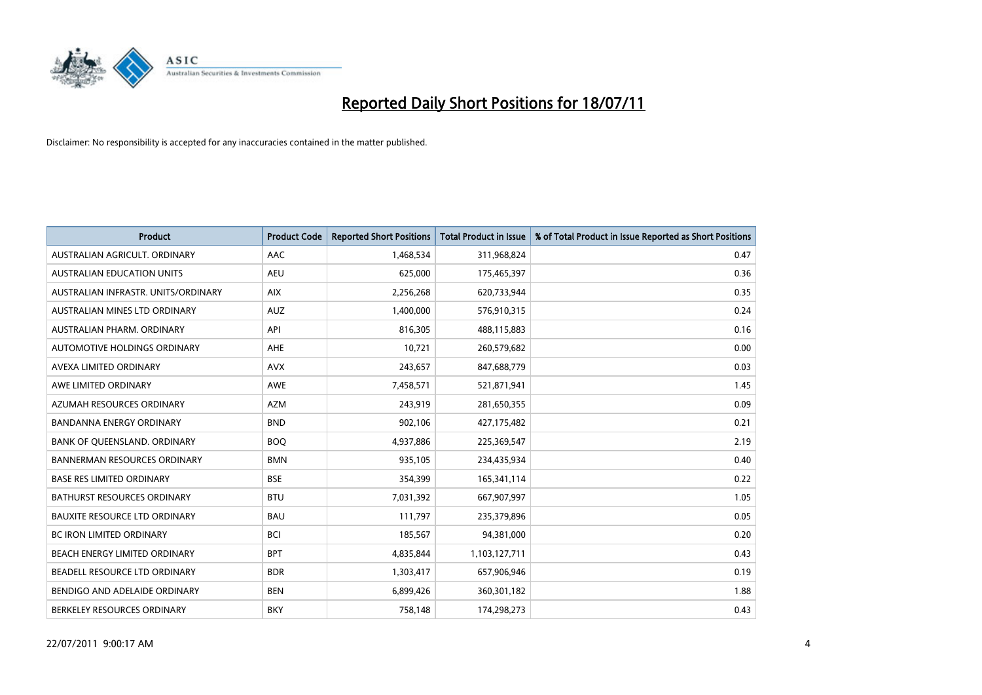

| <b>Product</b>                       | <b>Product Code</b> | <b>Reported Short Positions</b> | <b>Total Product in Issue</b> | % of Total Product in Issue Reported as Short Positions |
|--------------------------------------|---------------------|---------------------------------|-------------------------------|---------------------------------------------------------|
| AUSTRALIAN AGRICULT, ORDINARY        | AAC                 | 1,468,534                       | 311,968,824                   | 0.47                                                    |
| AUSTRALIAN EDUCATION UNITS           | <b>AEU</b>          | 625,000                         | 175,465,397                   | 0.36                                                    |
| AUSTRALIAN INFRASTR, UNITS/ORDINARY  | <b>AIX</b>          | 2,256,268                       | 620,733,944                   | 0.35                                                    |
| AUSTRALIAN MINES LTD ORDINARY        | <b>AUZ</b>          | 1,400,000                       | 576,910,315                   | 0.24                                                    |
| AUSTRALIAN PHARM, ORDINARY           | API                 | 816,305                         | 488,115,883                   | 0.16                                                    |
| AUTOMOTIVE HOLDINGS ORDINARY         | AHE                 | 10,721                          | 260,579,682                   | 0.00                                                    |
| AVEXA LIMITED ORDINARY               | <b>AVX</b>          | 243,657                         | 847,688,779                   | 0.03                                                    |
| AWE LIMITED ORDINARY                 | <b>AWE</b>          | 7,458,571                       | 521,871,941                   | 1.45                                                    |
| AZUMAH RESOURCES ORDINARY            | <b>AZM</b>          | 243,919                         | 281,650,355                   | 0.09                                                    |
| <b>BANDANNA ENERGY ORDINARY</b>      | <b>BND</b>          | 902,106                         | 427,175,482                   | 0.21                                                    |
| BANK OF QUEENSLAND. ORDINARY         | <b>BOQ</b>          | 4,937,886                       | 225,369,547                   | 2.19                                                    |
| <b>BANNERMAN RESOURCES ORDINARY</b>  | <b>BMN</b>          | 935,105                         | 234,435,934                   | 0.40                                                    |
| <b>BASE RES LIMITED ORDINARY</b>     | <b>BSE</b>          | 354,399                         | 165,341,114                   | 0.22                                                    |
| <b>BATHURST RESOURCES ORDINARY</b>   | <b>BTU</b>          | 7,031,392                       | 667,907,997                   | 1.05                                                    |
| <b>BAUXITE RESOURCE LTD ORDINARY</b> | <b>BAU</b>          | 111,797                         | 235,379,896                   | 0.05                                                    |
| BC IRON LIMITED ORDINARY             | <b>BCI</b>          | 185,567                         | 94,381,000                    | 0.20                                                    |
| BEACH ENERGY LIMITED ORDINARY        | <b>BPT</b>          | 4,835,844                       | 1,103,127,711                 | 0.43                                                    |
| BEADELL RESOURCE LTD ORDINARY        | <b>BDR</b>          | 1,303,417                       | 657,906,946                   | 0.19                                                    |
| BENDIGO AND ADELAIDE ORDINARY        | <b>BEN</b>          | 6,899,426                       | 360,301,182                   | 1.88                                                    |
| BERKELEY RESOURCES ORDINARY          | <b>BKY</b>          | 758,148                         | 174,298,273                   | 0.43                                                    |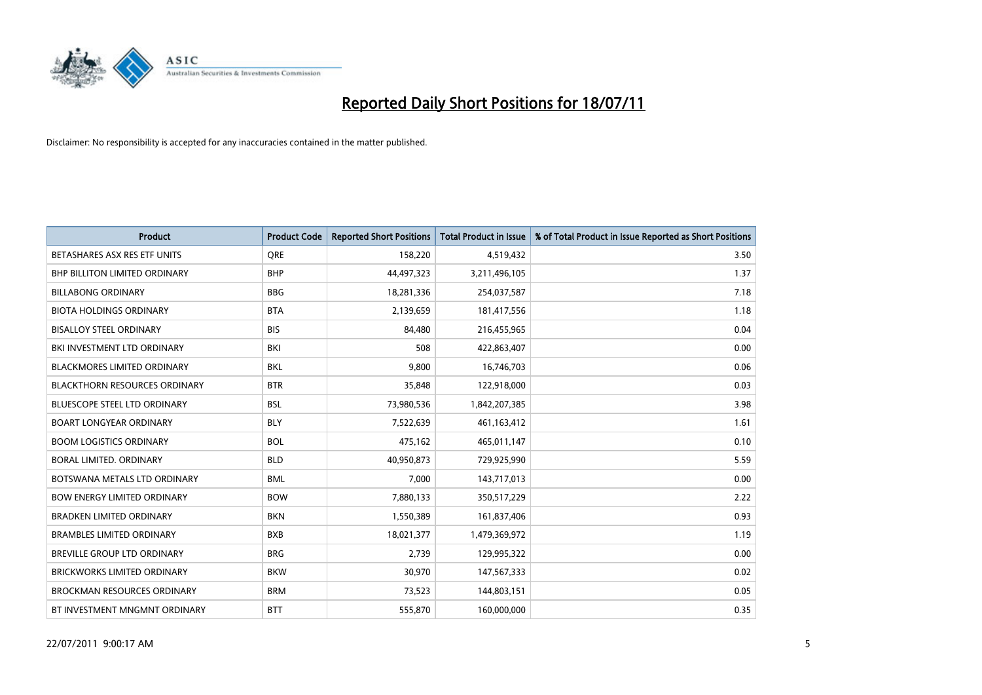

| <b>Product</b>                       | <b>Product Code</b> | <b>Reported Short Positions</b> | <b>Total Product in Issue</b> | % of Total Product in Issue Reported as Short Positions |
|--------------------------------------|---------------------|---------------------------------|-------------------------------|---------------------------------------------------------|
| BETASHARES ASX RES ETF UNITS         | <b>ORE</b>          | 158,220                         | 4,519,432                     | 3.50                                                    |
| <b>BHP BILLITON LIMITED ORDINARY</b> | <b>BHP</b>          | 44,497,323                      | 3,211,496,105                 | 1.37                                                    |
| <b>BILLABONG ORDINARY</b>            | <b>BBG</b>          | 18,281,336                      | 254,037,587                   | 7.18                                                    |
| <b>BIOTA HOLDINGS ORDINARY</b>       | <b>BTA</b>          | 2,139,659                       | 181,417,556                   | 1.18                                                    |
| <b>BISALLOY STEEL ORDINARY</b>       | <b>BIS</b>          | 84,480                          | 216,455,965                   | 0.04                                                    |
| BKI INVESTMENT LTD ORDINARY          | BKI                 | 508                             | 422,863,407                   | 0.00                                                    |
| <b>BLACKMORES LIMITED ORDINARY</b>   | <b>BKL</b>          | 9,800                           | 16,746,703                    | 0.06                                                    |
| <b>BLACKTHORN RESOURCES ORDINARY</b> | <b>BTR</b>          | 35,848                          | 122,918,000                   | 0.03                                                    |
| <b>BLUESCOPE STEEL LTD ORDINARY</b>  | <b>BSL</b>          | 73,980,536                      | 1,842,207,385                 | 3.98                                                    |
| <b>BOART LONGYEAR ORDINARY</b>       | <b>BLY</b>          | 7,522,639                       | 461,163,412                   | 1.61                                                    |
| <b>BOOM LOGISTICS ORDINARY</b>       | <b>BOL</b>          | 475,162                         | 465,011,147                   | 0.10                                                    |
| BORAL LIMITED, ORDINARY              | <b>BLD</b>          | 40,950,873                      | 729,925,990                   | 5.59                                                    |
| BOTSWANA METALS LTD ORDINARY         | <b>BML</b>          | 7,000                           | 143,717,013                   | 0.00                                                    |
| <b>BOW ENERGY LIMITED ORDINARY</b>   | <b>BOW</b>          | 7,880,133                       | 350,517,229                   | 2.22                                                    |
| <b>BRADKEN LIMITED ORDINARY</b>      | <b>BKN</b>          | 1,550,389                       | 161,837,406                   | 0.93                                                    |
| <b>BRAMBLES LIMITED ORDINARY</b>     | <b>BXB</b>          | 18,021,377                      | 1,479,369,972                 | 1.19                                                    |
| BREVILLE GROUP LTD ORDINARY          | <b>BRG</b>          | 2,739                           | 129,995,322                   | 0.00                                                    |
| <b>BRICKWORKS LIMITED ORDINARY</b>   | <b>BKW</b>          | 30,970                          | 147,567,333                   | 0.02                                                    |
| <b>BROCKMAN RESOURCES ORDINARY</b>   | <b>BRM</b>          | 73,523                          | 144,803,151                   | 0.05                                                    |
| BT INVESTMENT MNGMNT ORDINARY        | <b>BTT</b>          | 555,870                         | 160,000,000                   | 0.35                                                    |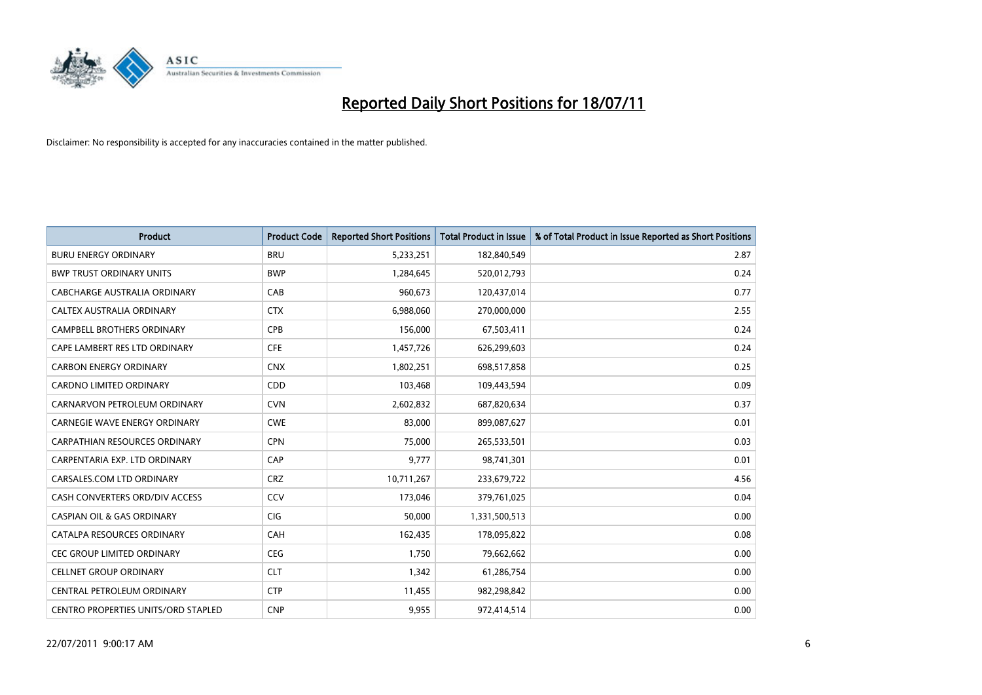

| <b>Product</b>                        | <b>Product Code</b> | <b>Reported Short Positions</b> | <b>Total Product in Issue</b> | % of Total Product in Issue Reported as Short Positions |
|---------------------------------------|---------------------|---------------------------------|-------------------------------|---------------------------------------------------------|
| <b>BURU ENERGY ORDINARY</b>           | <b>BRU</b>          | 5,233,251                       | 182,840,549                   | 2.87                                                    |
| <b>BWP TRUST ORDINARY UNITS</b>       | <b>BWP</b>          | 1,284,645                       | 520,012,793                   | 0.24                                                    |
| <b>CABCHARGE AUSTRALIA ORDINARY</b>   | CAB                 | 960,673                         | 120,437,014                   | 0.77                                                    |
| CALTEX AUSTRALIA ORDINARY             | <b>CTX</b>          | 6,988,060                       | 270,000,000                   | 2.55                                                    |
| <b>CAMPBELL BROTHERS ORDINARY</b>     | <b>CPB</b>          | 156,000                         | 67,503,411                    | 0.24                                                    |
| CAPE LAMBERT RES LTD ORDINARY         | <b>CFE</b>          | 1,457,726                       | 626,299,603                   | 0.24                                                    |
| <b>CARBON ENERGY ORDINARY</b>         | <b>CNX</b>          | 1,802,251                       | 698,517,858                   | 0.25                                                    |
| CARDNO LIMITED ORDINARY               | CDD                 | 103,468                         | 109,443,594                   | 0.09                                                    |
| CARNARVON PETROLEUM ORDINARY          | <b>CVN</b>          | 2,602,832                       | 687,820,634                   | 0.37                                                    |
| CARNEGIE WAVE ENERGY ORDINARY         | <b>CWE</b>          | 83,000                          | 899,087,627                   | 0.01                                                    |
| CARPATHIAN RESOURCES ORDINARY         | <b>CPN</b>          | 75,000                          | 265,533,501                   | 0.03                                                    |
| CARPENTARIA EXP. LTD ORDINARY         | CAP                 | 9,777                           | 98,741,301                    | 0.01                                                    |
| CARSALES.COM LTD ORDINARY             | <b>CRZ</b>          | 10,711,267                      | 233,679,722                   | 4.56                                                    |
| CASH CONVERTERS ORD/DIV ACCESS        | CCV                 | 173,046                         | 379,761,025                   | 0.04                                                    |
| <b>CASPIAN OIL &amp; GAS ORDINARY</b> | <b>CIG</b>          | 50,000                          | 1,331,500,513                 | 0.00                                                    |
| CATALPA RESOURCES ORDINARY            | CAH                 | 162,435                         | 178,095,822                   | 0.08                                                    |
| CEC GROUP LIMITED ORDINARY            | <b>CEG</b>          | 1,750                           | 79,662,662                    | 0.00                                                    |
| <b>CELLNET GROUP ORDINARY</b>         | <b>CLT</b>          | 1,342                           | 61,286,754                    | 0.00                                                    |
| CENTRAL PETROLEUM ORDINARY            | <b>CTP</b>          | 11,455                          | 982,298,842                   | 0.00                                                    |
| CENTRO PROPERTIES UNITS/ORD STAPLED   | <b>CNP</b>          | 9,955                           | 972,414,514                   | 0.00                                                    |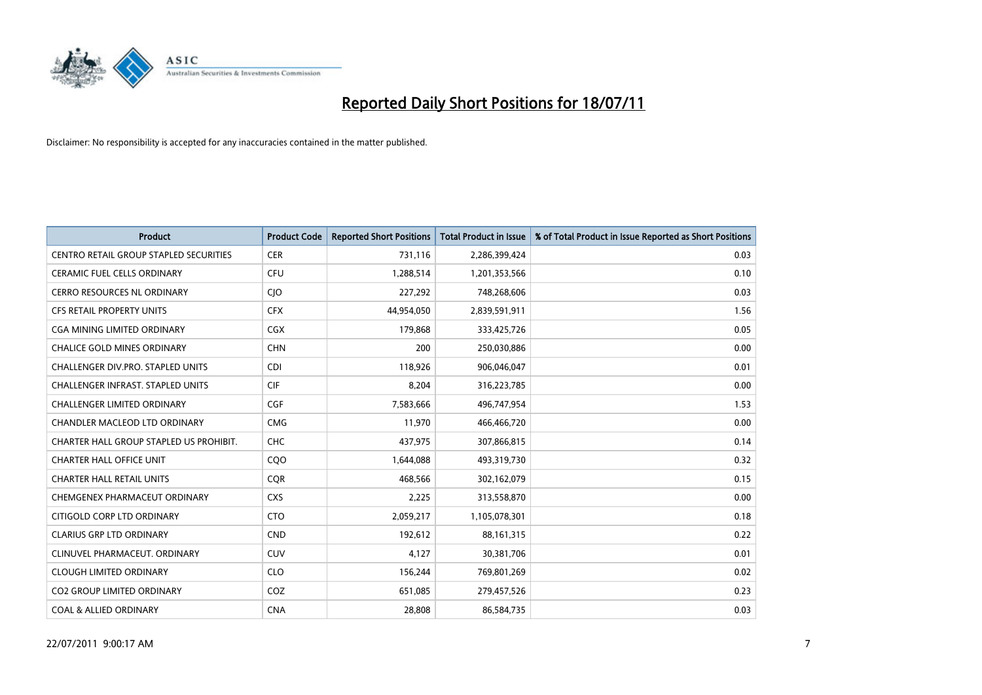

| <b>Product</b>                                | <b>Product Code</b> | <b>Reported Short Positions</b> | <b>Total Product in Issue</b> | % of Total Product in Issue Reported as Short Positions |
|-----------------------------------------------|---------------------|---------------------------------|-------------------------------|---------------------------------------------------------|
| <b>CENTRO RETAIL GROUP STAPLED SECURITIES</b> | <b>CER</b>          | 731,116                         | 2,286,399,424                 | 0.03                                                    |
| CERAMIC FUEL CELLS ORDINARY                   | <b>CFU</b>          | 1,288,514                       | 1,201,353,566                 | 0.10                                                    |
| CERRO RESOURCES NL ORDINARY                   | CJO                 | 227,292                         | 748,268,606                   | 0.03                                                    |
| <b>CFS RETAIL PROPERTY UNITS</b>              | <b>CFX</b>          | 44,954,050                      | 2,839,591,911                 | 1.56                                                    |
| CGA MINING LIMITED ORDINARY                   | <b>CGX</b>          | 179,868                         | 333,425,726                   | 0.05                                                    |
| <b>CHALICE GOLD MINES ORDINARY</b>            | <b>CHN</b>          | 200                             | 250,030,886                   | 0.00                                                    |
| CHALLENGER DIV.PRO. STAPLED UNITS             | <b>CDI</b>          | 118,926                         | 906,046,047                   | 0.01                                                    |
| CHALLENGER INFRAST. STAPLED UNITS             | <b>CIF</b>          | 8,204                           | 316,223,785                   | 0.00                                                    |
| <b>CHALLENGER LIMITED ORDINARY</b>            | <b>CGF</b>          | 7,583,666                       | 496,747,954                   | 1.53                                                    |
| <b>CHANDLER MACLEOD LTD ORDINARY</b>          | <b>CMG</b>          | 11,970                          | 466,466,720                   | 0.00                                                    |
| CHARTER HALL GROUP STAPLED US PROHIBIT.       | <b>CHC</b>          | 437,975                         | 307,866,815                   | 0.14                                                    |
| <b>CHARTER HALL OFFICE UNIT</b>               | COO                 | 1,644,088                       | 493,319,730                   | 0.32                                                    |
| <b>CHARTER HALL RETAIL UNITS</b>              | <b>COR</b>          | 468,566                         | 302,162,079                   | 0.15                                                    |
| CHEMGENEX PHARMACEUT ORDINARY                 | <b>CXS</b>          | 2,225                           | 313,558,870                   | 0.00                                                    |
| CITIGOLD CORP LTD ORDINARY                    | <b>CTO</b>          | 2,059,217                       | 1,105,078,301                 | 0.18                                                    |
| <b>CLARIUS GRP LTD ORDINARY</b>               | <b>CND</b>          | 192,612                         | 88,161,315                    | 0.22                                                    |
| CLINUVEL PHARMACEUT. ORDINARY                 | <b>CUV</b>          | 4,127                           | 30,381,706                    | 0.01                                                    |
| <b>CLOUGH LIMITED ORDINARY</b>                | <b>CLO</b>          | 156,244                         | 769,801,269                   | 0.02                                                    |
| <b>CO2 GROUP LIMITED ORDINARY</b>             | COZ                 | 651,085                         | 279,457,526                   | 0.23                                                    |
| <b>COAL &amp; ALLIED ORDINARY</b>             | <b>CNA</b>          | 28,808                          | 86,584,735                    | 0.03                                                    |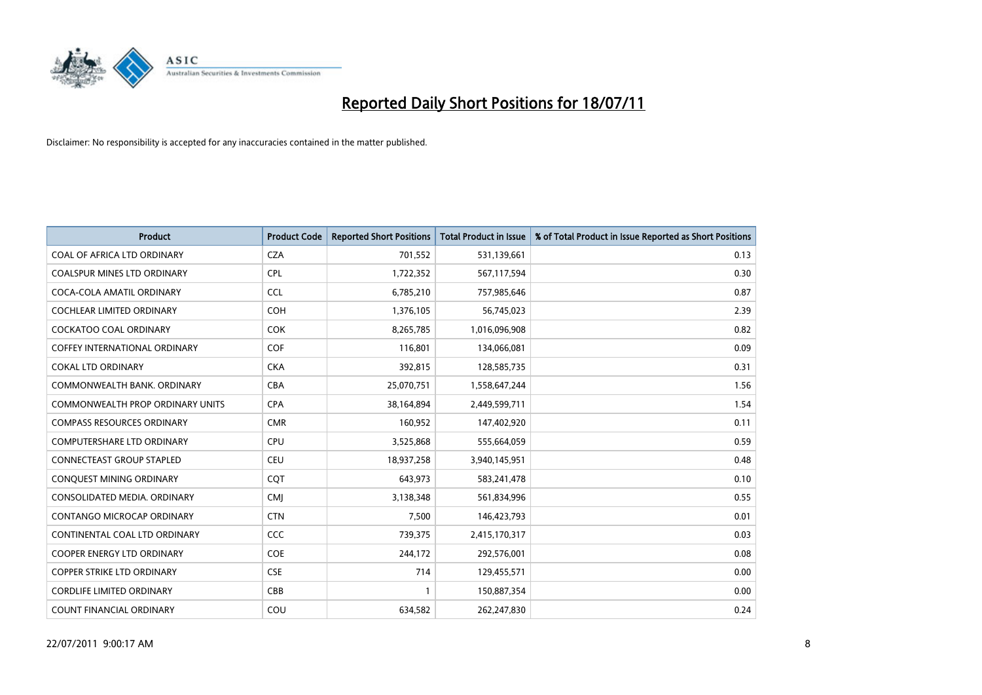

| <b>Product</b>                          | <b>Product Code</b> | <b>Reported Short Positions</b> | <b>Total Product in Issue</b> | % of Total Product in Issue Reported as Short Positions |
|-----------------------------------------|---------------------|---------------------------------|-------------------------------|---------------------------------------------------------|
| COAL OF AFRICA LTD ORDINARY             | <b>CZA</b>          | 701,552                         | 531,139,661                   | 0.13                                                    |
| COALSPUR MINES LTD ORDINARY             | <b>CPL</b>          | 1,722,352                       | 567,117,594                   | 0.30                                                    |
| COCA-COLA AMATIL ORDINARY               | <b>CCL</b>          | 6,785,210                       | 757,985,646                   | 0.87                                                    |
| <b>COCHLEAR LIMITED ORDINARY</b>        | <b>COH</b>          | 1,376,105                       | 56,745,023                    | 2.39                                                    |
| <b>COCKATOO COAL ORDINARY</b>           | <b>COK</b>          | 8,265,785                       | 1,016,096,908                 | 0.82                                                    |
| <b>COFFEY INTERNATIONAL ORDINARY</b>    | COF                 | 116,801                         | 134,066,081                   | 0.09                                                    |
| <b>COKAL LTD ORDINARY</b>               | <b>CKA</b>          | 392,815                         | 128,585,735                   | 0.31                                                    |
| COMMONWEALTH BANK, ORDINARY             | <b>CBA</b>          | 25,070,751                      | 1,558,647,244                 | 1.56                                                    |
| <b>COMMONWEALTH PROP ORDINARY UNITS</b> | <b>CPA</b>          | 38,164,894                      | 2,449,599,711                 | 1.54                                                    |
| <b>COMPASS RESOURCES ORDINARY</b>       | <b>CMR</b>          | 160,952                         | 147,402,920                   | 0.11                                                    |
| COMPUTERSHARE LTD ORDINARY              | <b>CPU</b>          | 3,525,868                       | 555,664,059                   | 0.59                                                    |
| CONNECTEAST GROUP STAPLED               | <b>CEU</b>          | 18,937,258                      | 3,940,145,951                 | 0.48                                                    |
| <b>CONQUEST MINING ORDINARY</b>         | <b>COT</b>          | 643,973                         | 583,241,478                   | 0.10                                                    |
| CONSOLIDATED MEDIA, ORDINARY            | <b>CMI</b>          | 3,138,348                       | 561,834,996                   | 0.55                                                    |
| CONTANGO MICROCAP ORDINARY              | <b>CTN</b>          | 7,500                           | 146,423,793                   | 0.01                                                    |
| CONTINENTAL COAL LTD ORDINARY           | CCC                 | 739,375                         | 2,415,170,317                 | 0.03                                                    |
| COOPER ENERGY LTD ORDINARY              | <b>COE</b>          | 244,172                         | 292,576,001                   | 0.08                                                    |
| <b>COPPER STRIKE LTD ORDINARY</b>       | <b>CSE</b>          | 714                             | 129,455,571                   | 0.00                                                    |
| <b>CORDLIFE LIMITED ORDINARY</b>        | CBB                 | 1                               | 150,887,354                   | 0.00                                                    |
| <b>COUNT FINANCIAL ORDINARY</b>         | COU                 | 634,582                         | 262,247,830                   | 0.24                                                    |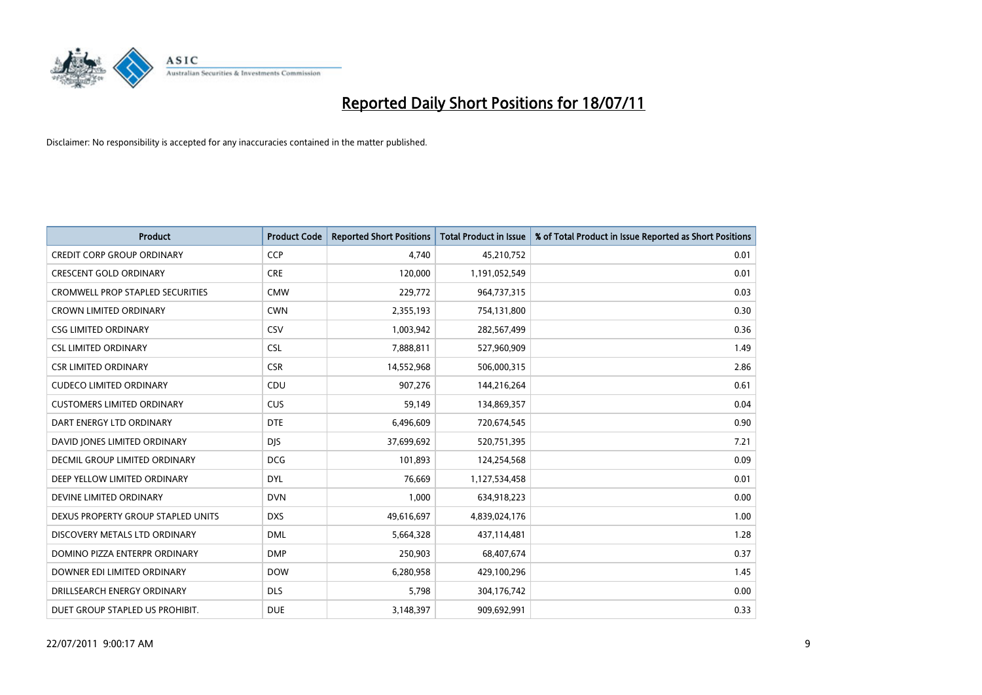

| <b>Product</b>                          | <b>Product Code</b> | <b>Reported Short Positions</b> | <b>Total Product in Issue</b> | % of Total Product in Issue Reported as Short Positions |
|-----------------------------------------|---------------------|---------------------------------|-------------------------------|---------------------------------------------------------|
| <b>CREDIT CORP GROUP ORDINARY</b>       | <b>CCP</b>          | 4,740                           | 45,210,752                    | 0.01                                                    |
| <b>CRESCENT GOLD ORDINARY</b>           | <b>CRE</b>          | 120,000                         | 1,191,052,549                 | 0.01                                                    |
| <b>CROMWELL PROP STAPLED SECURITIES</b> | <b>CMW</b>          | 229,772                         | 964,737,315                   | 0.03                                                    |
| <b>CROWN LIMITED ORDINARY</b>           | <b>CWN</b>          | 2,355,193                       | 754,131,800                   | 0.30                                                    |
| <b>CSG LIMITED ORDINARY</b>             | <b>CSV</b>          | 1,003,942                       | 282,567,499                   | 0.36                                                    |
| <b>CSL LIMITED ORDINARY</b>             | <b>CSL</b>          | 7,888,811                       | 527,960,909                   | 1.49                                                    |
| <b>CSR LIMITED ORDINARY</b>             | <b>CSR</b>          | 14,552,968                      | 506,000,315                   | 2.86                                                    |
| <b>CUDECO LIMITED ORDINARY</b>          | CDU                 | 907,276                         | 144,216,264                   | 0.61                                                    |
| <b>CUSTOMERS LIMITED ORDINARY</b>       | <b>CUS</b>          | 59,149                          | 134,869,357                   | 0.04                                                    |
| DART ENERGY LTD ORDINARY                | <b>DTE</b>          | 6,496,609                       | 720,674,545                   | 0.90                                                    |
| DAVID JONES LIMITED ORDINARY            | <b>DJS</b>          | 37,699,692                      | 520,751,395                   | 7.21                                                    |
| <b>DECMIL GROUP LIMITED ORDINARY</b>    | <b>DCG</b>          | 101,893                         | 124,254,568                   | 0.09                                                    |
| DEEP YELLOW LIMITED ORDINARY            | <b>DYL</b>          | 76,669                          | 1,127,534,458                 | 0.01                                                    |
| DEVINE LIMITED ORDINARY                 | <b>DVN</b>          | 1,000                           | 634,918,223                   | 0.00                                                    |
| DEXUS PROPERTY GROUP STAPLED UNITS      | <b>DXS</b>          | 49,616,697                      | 4,839,024,176                 | 1.00                                                    |
| DISCOVERY METALS LTD ORDINARY           | <b>DML</b>          | 5,664,328                       | 437,114,481                   | 1.28                                                    |
| DOMINO PIZZA ENTERPR ORDINARY           | <b>DMP</b>          | 250,903                         | 68,407,674                    | 0.37                                                    |
| DOWNER EDI LIMITED ORDINARY             | <b>DOW</b>          | 6,280,958                       | 429,100,296                   | 1.45                                                    |
| DRILLSEARCH ENERGY ORDINARY             | <b>DLS</b>          | 5,798                           | 304,176,742                   | 0.00                                                    |
| DUET GROUP STAPLED US PROHIBIT.         | <b>DUE</b>          | 3,148,397                       | 909,692,991                   | 0.33                                                    |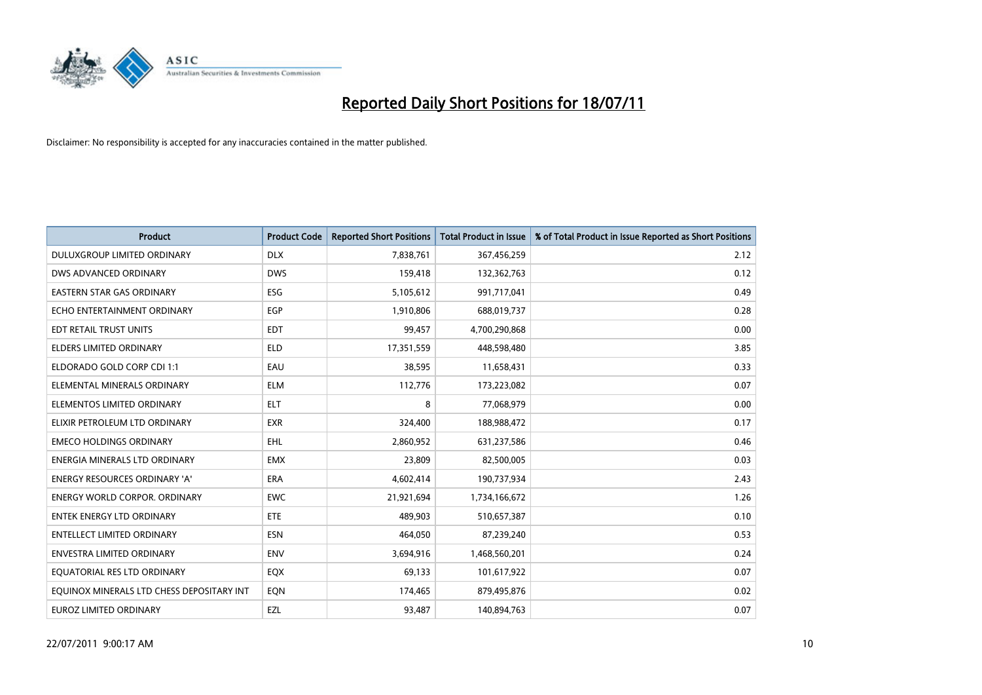

| <b>Product</b>                            | <b>Product Code</b> | <b>Reported Short Positions</b> | <b>Total Product in Issue</b> | % of Total Product in Issue Reported as Short Positions |
|-------------------------------------------|---------------------|---------------------------------|-------------------------------|---------------------------------------------------------|
| DULUXGROUP LIMITED ORDINARY               | <b>DLX</b>          | 7,838,761                       | 367,456,259                   | 2.12                                                    |
| DWS ADVANCED ORDINARY                     | <b>DWS</b>          | 159,418                         | 132,362,763                   | 0.12                                                    |
| <b>EASTERN STAR GAS ORDINARY</b>          | <b>ESG</b>          | 5,105,612                       | 991,717,041                   | 0.49                                                    |
| ECHO ENTERTAINMENT ORDINARY               | <b>EGP</b>          | 1,910,806                       | 688,019,737                   | 0.28                                                    |
| EDT RETAIL TRUST UNITS                    | <b>EDT</b>          | 99,457                          | 4,700,290,868                 | 0.00                                                    |
| <b>ELDERS LIMITED ORDINARY</b>            | <b>ELD</b>          | 17,351,559                      | 448,598,480                   | 3.85                                                    |
| ELDORADO GOLD CORP CDI 1:1                | EAU                 | 38,595                          | 11,658,431                    | 0.33                                                    |
| ELEMENTAL MINERALS ORDINARY               | <b>ELM</b>          | 112,776                         | 173,223,082                   | 0.07                                                    |
| ELEMENTOS LIMITED ORDINARY                | <b>ELT</b>          | 8                               | 77,068,979                    | 0.00                                                    |
| ELIXIR PETROLEUM LTD ORDINARY             | <b>EXR</b>          | 324,400                         | 188,988,472                   | 0.17                                                    |
| <b>EMECO HOLDINGS ORDINARY</b>            | EHL                 | 2,860,952                       | 631,237,586                   | 0.46                                                    |
| ENERGIA MINERALS LTD ORDINARY             | <b>EMX</b>          | 23,809                          | 82,500,005                    | 0.03                                                    |
| ENERGY RESOURCES ORDINARY 'A'             | <b>ERA</b>          | 4,602,414                       | 190,737,934                   | 2.43                                                    |
| <b>ENERGY WORLD CORPOR, ORDINARY</b>      | <b>EWC</b>          | 21,921,694                      | 1,734,166,672                 | 1.26                                                    |
| <b>ENTEK ENERGY LTD ORDINARY</b>          | ETE                 | 489,903                         | 510,657,387                   | 0.10                                                    |
| ENTELLECT LIMITED ORDINARY                | <b>ESN</b>          | 464,050                         | 87,239,240                    | 0.53                                                    |
| <b>ENVESTRA LIMITED ORDINARY</b>          | <b>ENV</b>          | 3,694,916                       | 1,468,560,201                 | 0.24                                                    |
| EQUATORIAL RES LTD ORDINARY               | EQX                 | 69,133                          | 101,617,922                   | 0.07                                                    |
| EOUINOX MINERALS LTD CHESS DEPOSITARY INT | EON                 | 174,465                         | 879,495,876                   | 0.02                                                    |
| <b>EUROZ LIMITED ORDINARY</b>             | EZL                 | 93,487                          | 140,894,763                   | 0.07                                                    |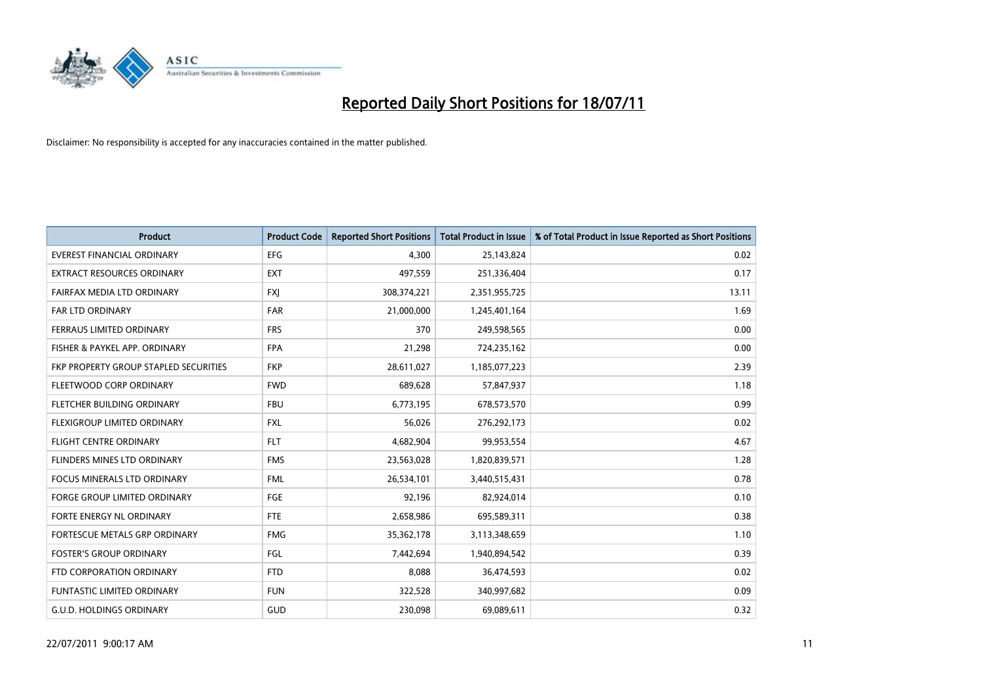

| <b>Product</b>                        | <b>Product Code</b> | <b>Reported Short Positions</b> | <b>Total Product in Issue</b> | % of Total Product in Issue Reported as Short Positions |
|---------------------------------------|---------------------|---------------------------------|-------------------------------|---------------------------------------------------------|
| <b>EVEREST FINANCIAL ORDINARY</b>     | <b>EFG</b>          | 4,300                           | 25,143,824                    | 0.02                                                    |
| <b>EXTRACT RESOURCES ORDINARY</b>     | <b>EXT</b>          | 497,559                         | 251,336,404                   | 0.17                                                    |
| FAIRFAX MEDIA LTD ORDINARY            | <b>FXJ</b>          | 308,374,221                     | 2,351,955,725                 | 13.11                                                   |
| FAR LTD ORDINARY                      | <b>FAR</b>          | 21,000,000                      | 1,245,401,164                 | 1.69                                                    |
| FERRAUS LIMITED ORDINARY              | <b>FRS</b>          | 370                             | 249,598,565                   | 0.00                                                    |
| FISHER & PAYKEL APP. ORDINARY         | <b>FPA</b>          | 21,298                          | 724,235,162                   | 0.00                                                    |
| FKP PROPERTY GROUP STAPLED SECURITIES | <b>FKP</b>          | 28,611,027                      | 1,185,077,223                 | 2.39                                                    |
| FLEETWOOD CORP ORDINARY               | <b>FWD</b>          | 689,628                         | 57,847,937                    | 1.18                                                    |
| FLETCHER BUILDING ORDINARY            | <b>FBU</b>          | 6,773,195                       | 678,573,570                   | 0.99                                                    |
| FLEXIGROUP LIMITED ORDINARY           | <b>FXL</b>          | 56,026                          | 276,292,173                   | 0.02                                                    |
| <b>FLIGHT CENTRE ORDINARY</b>         | <b>FLT</b>          | 4,682,904                       | 99,953,554                    | 4.67                                                    |
| FLINDERS MINES LTD ORDINARY           | <b>FMS</b>          | 23,563,028                      | 1,820,839,571                 | 1.28                                                    |
| FOCUS MINERALS LTD ORDINARY           | <b>FML</b>          | 26,534,101                      | 3,440,515,431                 | 0.78                                                    |
| <b>FORGE GROUP LIMITED ORDINARY</b>   | FGE                 | 92,196                          | 82,924,014                    | 0.10                                                    |
| FORTE ENERGY NL ORDINARY              | <b>FTE</b>          | 2,658,986                       | 695,589,311                   | 0.38                                                    |
| <b>FORTESCUE METALS GRP ORDINARY</b>  | <b>FMG</b>          | 35,362,178                      | 3,113,348,659                 | 1.10                                                    |
| <b>FOSTER'S GROUP ORDINARY</b>        | <b>FGL</b>          | 7,442,694                       | 1,940,894,542                 | 0.39                                                    |
| FTD CORPORATION ORDINARY              | <b>FTD</b>          | 8,088                           | 36,474,593                    | 0.02                                                    |
| <b>FUNTASTIC LIMITED ORDINARY</b>     | <b>FUN</b>          | 322,528                         | 340,997,682                   | 0.09                                                    |
| <b>G.U.D. HOLDINGS ORDINARY</b>       | GUD                 | 230,098                         | 69,089,611                    | 0.32                                                    |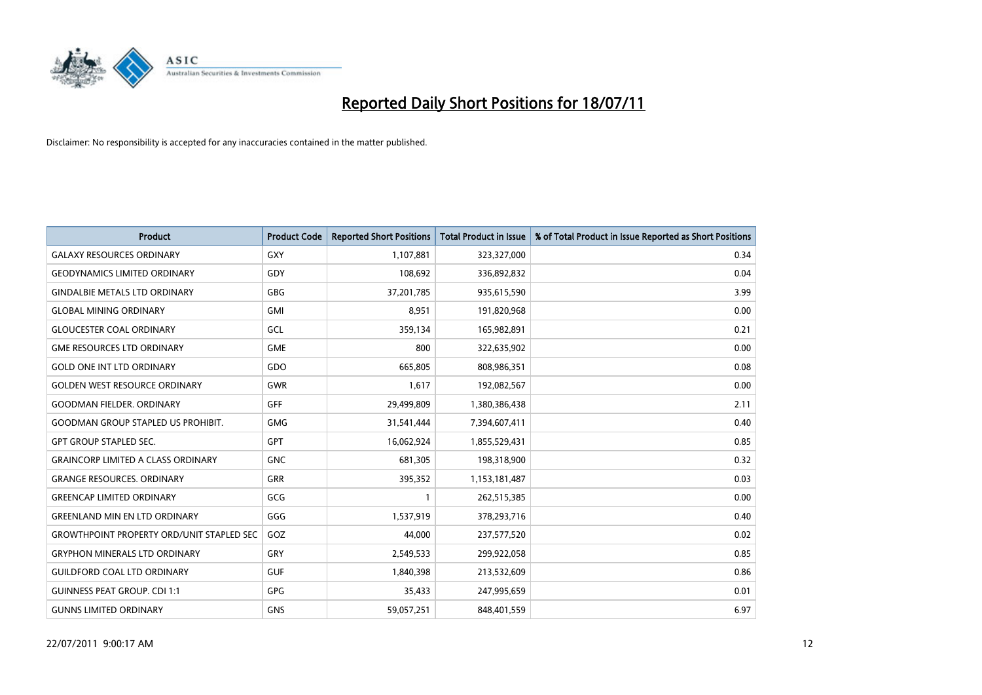

| <b>Product</b>                                   | <b>Product Code</b> | <b>Reported Short Positions</b> | <b>Total Product in Issue</b> | % of Total Product in Issue Reported as Short Positions |
|--------------------------------------------------|---------------------|---------------------------------|-------------------------------|---------------------------------------------------------|
| <b>GALAXY RESOURCES ORDINARY</b>                 | <b>GXY</b>          | 1,107,881                       | 323,327,000                   | 0.34                                                    |
| <b>GEODYNAMICS LIMITED ORDINARY</b>              | GDY                 | 108,692                         | 336,892,832                   | 0.04                                                    |
| <b>GINDALBIE METALS LTD ORDINARY</b>             | <b>GBG</b>          | 37,201,785                      | 935,615,590                   | 3.99                                                    |
| <b>GLOBAL MINING ORDINARY</b>                    | GMI                 | 8,951                           | 191,820,968                   | 0.00                                                    |
| <b>GLOUCESTER COAL ORDINARY</b>                  | GCL                 | 359,134                         | 165,982,891                   | 0.21                                                    |
| <b>GME RESOURCES LTD ORDINARY</b>                | <b>GME</b>          | 800                             | 322,635,902                   | 0.00                                                    |
| <b>GOLD ONE INT LTD ORDINARY</b>                 | GDO                 | 665,805                         | 808,986,351                   | 0.08                                                    |
| <b>GOLDEN WEST RESOURCE ORDINARY</b>             | <b>GWR</b>          | 1,617                           | 192,082,567                   | 0.00                                                    |
| <b>GOODMAN FIELDER, ORDINARY</b>                 | <b>GFF</b>          | 29,499,809                      | 1,380,386,438                 | 2.11                                                    |
| <b>GOODMAN GROUP STAPLED US PROHIBIT.</b>        | <b>GMG</b>          | 31,541,444                      | 7,394,607,411                 | 0.40                                                    |
| <b>GPT GROUP STAPLED SEC.</b>                    | GPT                 | 16,062,924                      | 1,855,529,431                 | 0.85                                                    |
| <b>GRAINCORP LIMITED A CLASS ORDINARY</b>        | <b>GNC</b>          | 681,305                         | 198,318,900                   | 0.32                                                    |
| <b>GRANGE RESOURCES. ORDINARY</b>                | GRR                 | 395,352                         | 1,153,181,487                 | 0.03                                                    |
| <b>GREENCAP LIMITED ORDINARY</b>                 | GCG                 | 1                               | 262,515,385                   | 0.00                                                    |
| <b>GREENLAND MIN EN LTD ORDINARY</b>             | GGG                 | 1,537,919                       | 378,293,716                   | 0.40                                                    |
| <b>GROWTHPOINT PROPERTY ORD/UNIT STAPLED SEC</b> | GOZ                 | 44,000                          | 237,577,520                   | 0.02                                                    |
| <b>GRYPHON MINERALS LTD ORDINARY</b>             | GRY                 | 2,549,533                       | 299,922,058                   | 0.85                                                    |
| <b>GUILDFORD COAL LTD ORDINARY</b>               | <b>GUF</b>          | 1,840,398                       | 213,532,609                   | 0.86                                                    |
| <b>GUINNESS PEAT GROUP. CDI 1:1</b>              | <b>GPG</b>          | 35,433                          | 247,995,659                   | 0.01                                                    |
| <b>GUNNS LIMITED ORDINARY</b>                    | <b>GNS</b>          | 59,057,251                      | 848,401,559                   | 6.97                                                    |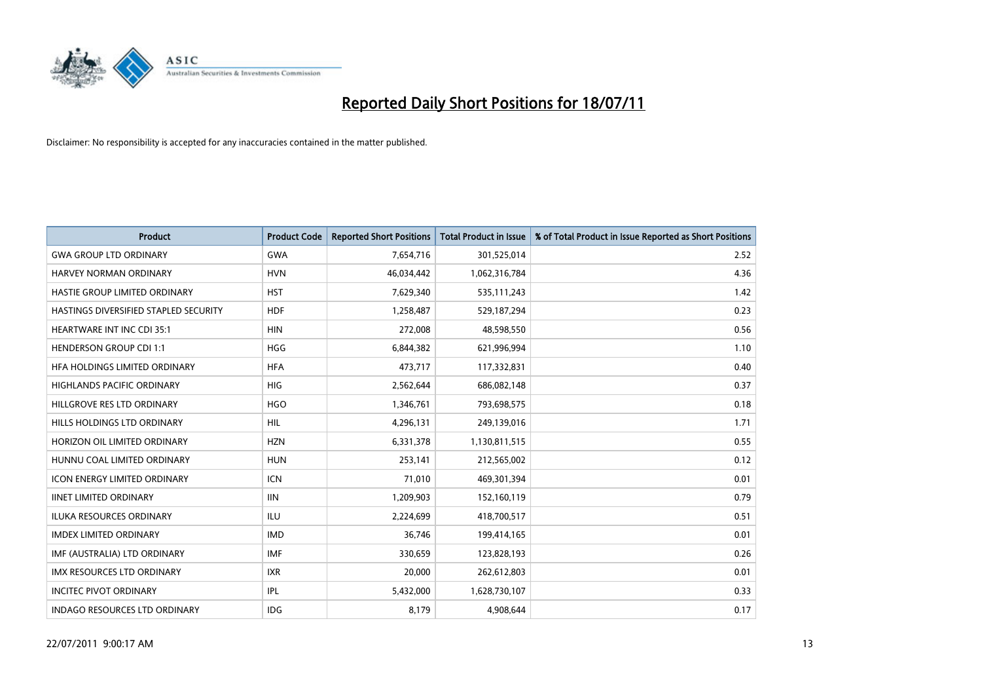

| <b>Product</b>                        | <b>Product Code</b> | <b>Reported Short Positions</b> | <b>Total Product in Issue</b> | % of Total Product in Issue Reported as Short Positions |
|---------------------------------------|---------------------|---------------------------------|-------------------------------|---------------------------------------------------------|
| <b>GWA GROUP LTD ORDINARY</b>         | <b>GWA</b>          | 7,654,716                       | 301,525,014                   | 2.52                                                    |
| HARVEY NORMAN ORDINARY                | <b>HVN</b>          | 46,034,442                      | 1,062,316,784                 | 4.36                                                    |
| HASTIE GROUP LIMITED ORDINARY         | <b>HST</b>          | 7,629,340                       | 535,111,243                   | 1.42                                                    |
| HASTINGS DIVERSIFIED STAPLED SECURITY | <b>HDF</b>          | 1,258,487                       | 529,187,294                   | 0.23                                                    |
| <b>HEARTWARE INT INC CDI 35:1</b>     | <b>HIN</b>          | 272,008                         | 48,598,550                    | 0.56                                                    |
| <b>HENDERSON GROUP CDI 1:1</b>        | <b>HGG</b>          | 6,844,382                       | 621,996,994                   | 1.10                                                    |
| HFA HOLDINGS LIMITED ORDINARY         | <b>HFA</b>          | 473,717                         | 117,332,831                   | 0.40                                                    |
| <b>HIGHLANDS PACIFIC ORDINARY</b>     | <b>HIG</b>          | 2,562,644                       | 686,082,148                   | 0.37                                                    |
| HILLGROVE RES LTD ORDINARY            | <b>HGO</b>          | 1,346,761                       | 793,698,575                   | 0.18                                                    |
| HILLS HOLDINGS LTD ORDINARY           | <b>HIL</b>          | 4,296,131                       | 249,139,016                   | 1.71                                                    |
| HORIZON OIL LIMITED ORDINARY          | <b>HZN</b>          | 6,331,378                       | 1,130,811,515                 | 0.55                                                    |
| HUNNU COAL LIMITED ORDINARY           | <b>HUN</b>          | 253,141                         | 212,565,002                   | 0.12                                                    |
| <b>ICON ENERGY LIMITED ORDINARY</b>   | <b>ICN</b>          | 71,010                          | 469,301,394                   | 0.01                                                    |
| <b>IINET LIMITED ORDINARY</b>         | <b>IIN</b>          | 1,209,903                       | 152,160,119                   | 0.79                                                    |
| <b>ILUKA RESOURCES ORDINARY</b>       | <b>ILU</b>          | 2,224,699                       | 418,700,517                   | 0.51                                                    |
| <b>IMDEX LIMITED ORDINARY</b>         | <b>IMD</b>          | 36,746                          | 199,414,165                   | 0.01                                                    |
| IMF (AUSTRALIA) LTD ORDINARY          | <b>IMF</b>          | 330,659                         | 123,828,193                   | 0.26                                                    |
| IMX RESOURCES LTD ORDINARY            | <b>IXR</b>          | 20,000                          | 262,612,803                   | 0.01                                                    |
| <b>INCITEC PIVOT ORDINARY</b>         | IPL                 | 5,432,000                       | 1,628,730,107                 | 0.33                                                    |
| INDAGO RESOURCES LTD ORDINARY         | IDG                 | 8,179                           | 4,908,644                     | 0.17                                                    |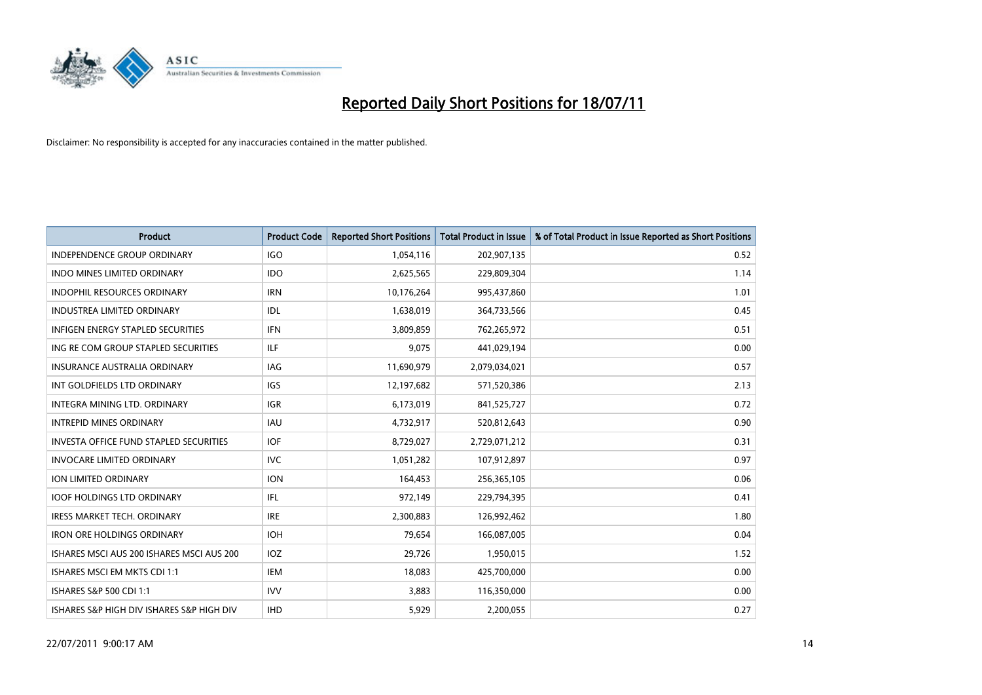

| <b>Product</b>                                | <b>Product Code</b> | <b>Reported Short Positions</b> | <b>Total Product in Issue</b> | % of Total Product in Issue Reported as Short Positions |
|-----------------------------------------------|---------------------|---------------------------------|-------------------------------|---------------------------------------------------------|
| <b>INDEPENDENCE GROUP ORDINARY</b>            | <b>IGO</b>          | 1,054,116                       | 202,907,135                   | 0.52                                                    |
| <b>INDO MINES LIMITED ORDINARY</b>            | <b>IDO</b>          | 2,625,565                       | 229,809,304                   | 1.14                                                    |
| <b>INDOPHIL RESOURCES ORDINARY</b>            | <b>IRN</b>          | 10,176,264                      | 995,437,860                   | 1.01                                                    |
| INDUSTREA LIMITED ORDINARY                    | <b>IDL</b>          | 1,638,019                       | 364,733,566                   | 0.45                                                    |
| <b>INFIGEN ENERGY STAPLED SECURITIES</b>      | <b>IFN</b>          | 3,809,859                       | 762,265,972                   | 0.51                                                    |
| ING RE COM GROUP STAPLED SECURITIES           | ILF.                | 9,075                           | 441,029,194                   | 0.00                                                    |
| <b>INSURANCE AUSTRALIA ORDINARY</b>           | <b>IAG</b>          | 11,690,979                      | 2,079,034,021                 | 0.57                                                    |
| INT GOLDFIELDS LTD ORDINARY                   | <b>IGS</b>          | 12,197,682                      | 571,520,386                   | 2.13                                                    |
| INTEGRA MINING LTD, ORDINARY                  | <b>IGR</b>          | 6,173,019                       | 841,525,727                   | 0.72                                                    |
| <b>INTREPID MINES ORDINARY</b>                | <b>IAU</b>          | 4,732,917                       | 520,812,643                   | 0.90                                                    |
| <b>INVESTA OFFICE FUND STAPLED SECURITIES</b> | <b>IOF</b>          | 8,729,027                       | 2,729,071,212                 | 0.31                                                    |
| <b>INVOCARE LIMITED ORDINARY</b>              | <b>IVC</b>          | 1,051,282                       | 107,912,897                   | 0.97                                                    |
| ION LIMITED ORDINARY                          | <b>ION</b>          | 164.453                         | 256,365,105                   | 0.06                                                    |
| <b>IOOF HOLDINGS LTD ORDINARY</b>             | IFL                 | 972,149                         | 229,794,395                   | 0.41                                                    |
| <b>IRESS MARKET TECH. ORDINARY</b>            | <b>IRE</b>          | 2,300,883                       | 126,992,462                   | 1.80                                                    |
| <b>IRON ORE HOLDINGS ORDINARY</b>             | <b>IOH</b>          | 79,654                          | 166,087,005                   | 0.04                                                    |
| ISHARES MSCI AUS 200 ISHARES MSCI AUS 200     | <b>IOZ</b>          | 29,726                          | 1,950,015                     | 1.52                                                    |
| ISHARES MSCI EM MKTS CDI 1:1                  | <b>IEM</b>          | 18,083                          | 425,700,000                   | 0.00                                                    |
| ISHARES S&P 500 CDI 1:1                       | <b>IVV</b>          | 3,883                           | 116,350,000                   | 0.00                                                    |
| ISHARES S&P HIGH DIV ISHARES S&P HIGH DIV     | <b>IHD</b>          | 5,929                           | 2,200,055                     | 0.27                                                    |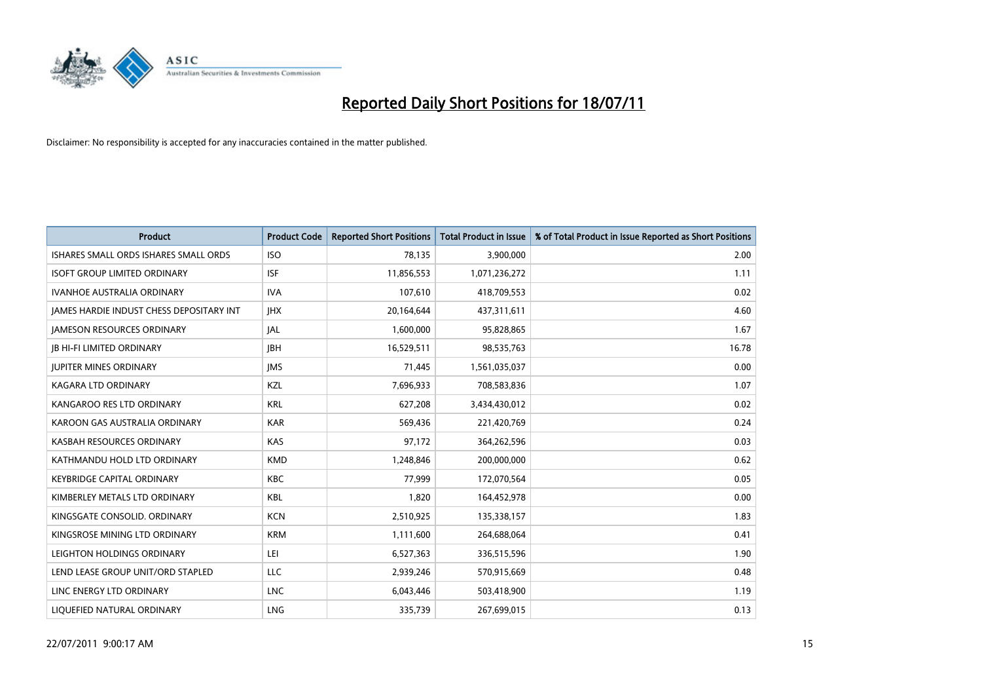

| <b>Product</b>                           | <b>Product Code</b> | <b>Reported Short Positions</b> | <b>Total Product in Issue</b> | % of Total Product in Issue Reported as Short Positions |
|------------------------------------------|---------------------|---------------------------------|-------------------------------|---------------------------------------------------------|
| ISHARES SMALL ORDS ISHARES SMALL ORDS    | <b>ISO</b>          | 78,135                          | 3,900,000                     | 2.00                                                    |
| <b>ISOFT GROUP LIMITED ORDINARY</b>      | <b>ISF</b>          | 11,856,553                      | 1,071,236,272                 | 1.11                                                    |
| <b>IVANHOE AUSTRALIA ORDINARY</b>        | <b>IVA</b>          | 107,610                         | 418,709,553                   | 0.02                                                    |
| JAMES HARDIE INDUST CHESS DEPOSITARY INT | <b>IHX</b>          | 20,164,644                      | 437,311,611                   | 4.60                                                    |
| <b>JAMESON RESOURCES ORDINARY</b>        | JAL                 | 1,600,000                       | 95,828,865                    | 1.67                                                    |
| <b>JB HI-FI LIMITED ORDINARY</b>         | <b>IBH</b>          | 16,529,511                      | 98,535,763                    | 16.78                                                   |
| <b>JUPITER MINES ORDINARY</b>            | <b>IMS</b>          | 71,445                          | 1,561,035,037                 | 0.00                                                    |
| KAGARA LTD ORDINARY                      | KZL                 | 7,696,933                       | 708,583,836                   | 1.07                                                    |
| KANGAROO RES LTD ORDINARY                | <b>KRL</b>          | 627,208                         | 3,434,430,012                 | 0.02                                                    |
| KAROON GAS AUSTRALIA ORDINARY            | <b>KAR</b>          | 569,436                         | 221,420,769                   | 0.24                                                    |
| KASBAH RESOURCES ORDINARY                | <b>KAS</b>          | 97,172                          | 364,262,596                   | 0.03                                                    |
| KATHMANDU HOLD LTD ORDINARY              | <b>KMD</b>          | 1,248,846                       | 200,000,000                   | 0.62                                                    |
| <b>KEYBRIDGE CAPITAL ORDINARY</b>        | <b>KBC</b>          | 77,999                          | 172,070,564                   | 0.05                                                    |
| KIMBERLEY METALS LTD ORDINARY            | <b>KBL</b>          | 1,820                           | 164,452,978                   | 0.00                                                    |
| KINGSGATE CONSOLID. ORDINARY             | <b>KCN</b>          | 2,510,925                       | 135,338,157                   | 1.83                                                    |
| KINGSROSE MINING LTD ORDINARY            | <b>KRM</b>          | 1,111,600                       | 264,688,064                   | 0.41                                                    |
| LEIGHTON HOLDINGS ORDINARY               | LEI                 | 6,527,363                       | 336,515,596                   | 1.90                                                    |
| LEND LEASE GROUP UNIT/ORD STAPLED        | <b>LLC</b>          | 2,939,246                       | 570,915,669                   | 0.48                                                    |
| LINC ENERGY LTD ORDINARY                 | <b>LNC</b>          | 6,043,446                       | 503,418,900                   | 1.19                                                    |
| LIQUEFIED NATURAL ORDINARY               | <b>LNG</b>          | 335,739                         | 267,699,015                   | 0.13                                                    |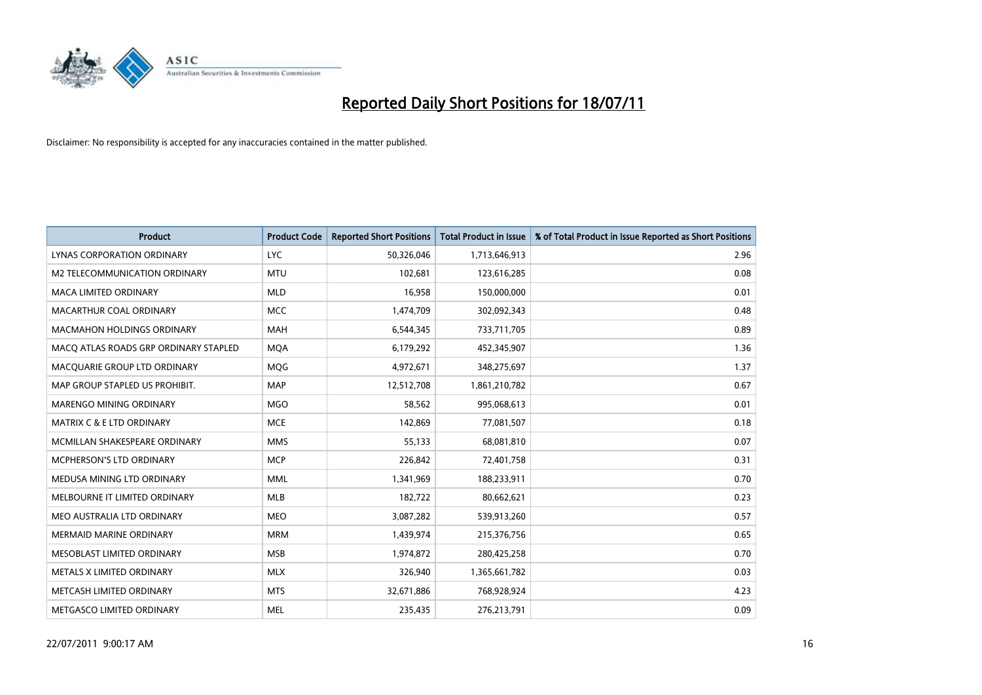

| <b>Product</b>                        | <b>Product Code</b> | <b>Reported Short Positions</b> | <b>Total Product in Issue</b> | % of Total Product in Issue Reported as Short Positions |
|---------------------------------------|---------------------|---------------------------------|-------------------------------|---------------------------------------------------------|
| LYNAS CORPORATION ORDINARY            | <b>LYC</b>          | 50,326,046                      | 1,713,646,913                 | 2.96                                                    |
| M2 TELECOMMUNICATION ORDINARY         | <b>MTU</b>          | 102,681                         | 123,616,285                   | 0.08                                                    |
| <b>MACA LIMITED ORDINARY</b>          | <b>MLD</b>          | 16,958                          | 150,000,000                   | 0.01                                                    |
| MACARTHUR COAL ORDINARY               | <b>MCC</b>          | 1,474,709                       | 302,092,343                   | 0.48                                                    |
| <b>MACMAHON HOLDINGS ORDINARY</b>     | MAH                 | 6,544,345                       | 733,711,705                   | 0.89                                                    |
| MACO ATLAS ROADS GRP ORDINARY STAPLED | <b>MQA</b>          | 6,179,292                       | 452,345,907                   | 1.36                                                    |
| MACQUARIE GROUP LTD ORDINARY          | <b>MQG</b>          | 4,972,671                       | 348,275,697                   | 1.37                                                    |
| MAP GROUP STAPLED US PROHIBIT.        | <b>MAP</b>          | 12,512,708                      | 1,861,210,782                 | 0.67                                                    |
| MARENGO MINING ORDINARY               | <b>MGO</b>          | 58,562                          | 995,068,613                   | 0.01                                                    |
| MATRIX C & E LTD ORDINARY             | <b>MCE</b>          | 142,869                         | 77,081,507                    | 0.18                                                    |
| MCMILLAN SHAKESPEARE ORDINARY         | <b>MMS</b>          | 55,133                          | 68,081,810                    | 0.07                                                    |
| <b>MCPHERSON'S LTD ORDINARY</b>       | <b>MCP</b>          | 226,842                         | 72,401,758                    | 0.31                                                    |
| MEDUSA MINING LTD ORDINARY            | <b>MML</b>          | 1,341,969                       | 188,233,911                   | 0.70                                                    |
| MELBOURNE IT LIMITED ORDINARY         | <b>MLB</b>          | 182,722                         | 80,662,621                    | 0.23                                                    |
| MEO AUSTRALIA LTD ORDINARY            | <b>MEO</b>          | 3,087,282                       | 539,913,260                   | 0.57                                                    |
| <b>MERMAID MARINE ORDINARY</b>        | <b>MRM</b>          | 1,439,974                       | 215,376,756                   | 0.65                                                    |
| MESOBLAST LIMITED ORDINARY            | <b>MSB</b>          | 1,974,872                       | 280,425,258                   | 0.70                                                    |
| METALS X LIMITED ORDINARY             | <b>MLX</b>          | 326,940                         | 1,365,661,782                 | 0.03                                                    |
| METCASH LIMITED ORDINARY              | <b>MTS</b>          | 32,671,886                      | 768,928,924                   | 4.23                                                    |
| METGASCO LIMITED ORDINARY             | <b>MEL</b>          | 235,435                         | 276,213,791                   | 0.09                                                    |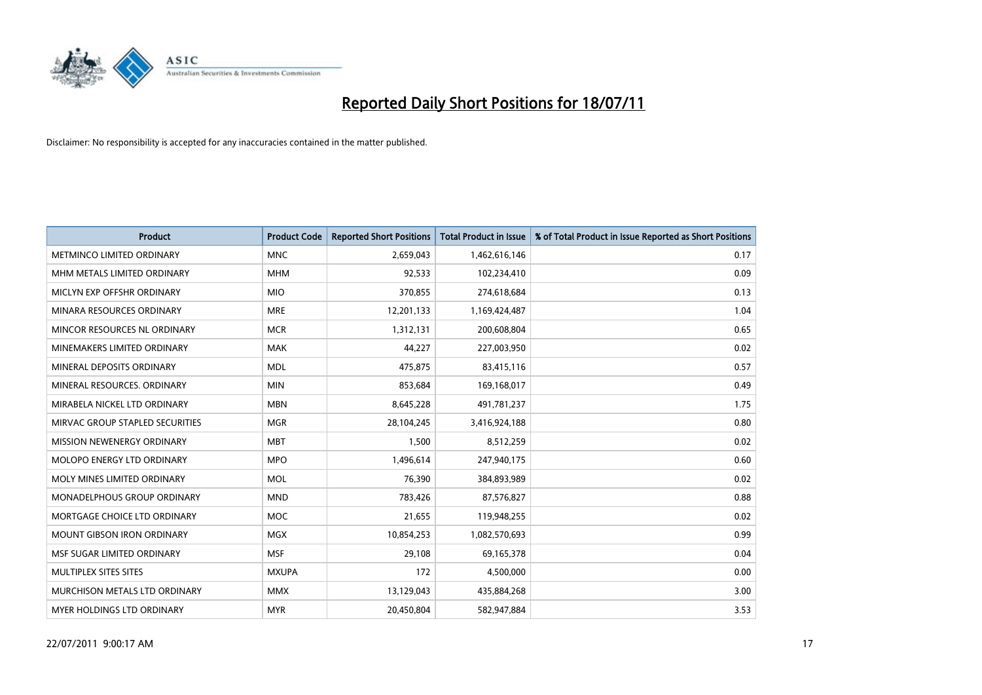

| <b>Product</b>                    | <b>Product Code</b> | <b>Reported Short Positions</b> | <b>Total Product in Issue</b> | % of Total Product in Issue Reported as Short Positions |
|-----------------------------------|---------------------|---------------------------------|-------------------------------|---------------------------------------------------------|
| METMINCO LIMITED ORDINARY         | <b>MNC</b>          | 2,659,043                       | 1,462,616,146                 | 0.17                                                    |
| MHM METALS LIMITED ORDINARY       | <b>MHM</b>          | 92,533                          | 102,234,410                   | 0.09                                                    |
| MICLYN EXP OFFSHR ORDINARY        | <b>MIO</b>          | 370,855                         | 274,618,684                   | 0.13                                                    |
| MINARA RESOURCES ORDINARY         | <b>MRE</b>          | 12,201,133                      | 1,169,424,487                 | 1.04                                                    |
| MINCOR RESOURCES NL ORDINARY      | <b>MCR</b>          | 1,312,131                       | 200,608,804                   | 0.65                                                    |
| MINEMAKERS LIMITED ORDINARY       | <b>MAK</b>          | 44,227                          | 227,003,950                   | 0.02                                                    |
| MINERAL DEPOSITS ORDINARY         | <b>MDL</b>          | 475,875                         | 83,415,116                    | 0.57                                                    |
| MINERAL RESOURCES. ORDINARY       | <b>MIN</b>          | 853,684                         | 169,168,017                   | 0.49                                                    |
| MIRABELA NICKEL LTD ORDINARY      | <b>MBN</b>          | 8,645,228                       | 491,781,237                   | 1.75                                                    |
| MIRVAC GROUP STAPLED SECURITIES   | <b>MGR</b>          | 28,104,245                      | 3,416,924,188                 | 0.80                                                    |
| MISSION NEWENERGY ORDINARY        | <b>MBT</b>          | 1,500                           | 8,512,259                     | 0.02                                                    |
| MOLOPO ENERGY LTD ORDINARY        | <b>MPO</b>          | 1,496,614                       | 247,940,175                   | 0.60                                                    |
| MOLY MINES LIMITED ORDINARY       | <b>MOL</b>          | 76,390                          | 384,893,989                   | 0.02                                                    |
| MONADELPHOUS GROUP ORDINARY       | <b>MND</b>          | 783,426                         | 87,576,827                    | 0.88                                                    |
| MORTGAGE CHOICE LTD ORDINARY      | MOC                 | 21,655                          | 119,948,255                   | 0.02                                                    |
| <b>MOUNT GIBSON IRON ORDINARY</b> | <b>MGX</b>          | 10,854,253                      | 1,082,570,693                 | 0.99                                                    |
| MSF SUGAR LIMITED ORDINARY        | <b>MSF</b>          | 29,108                          | 69,165,378                    | 0.04                                                    |
| MULTIPLEX SITES SITES             | <b>MXUPA</b>        | 172                             | 4,500,000                     | 0.00                                                    |
| MURCHISON METALS LTD ORDINARY     | <b>MMX</b>          | 13,129,043                      | 435,884,268                   | 3.00                                                    |
| MYER HOLDINGS LTD ORDINARY        | <b>MYR</b>          | 20,450,804                      | 582,947,884                   | 3.53                                                    |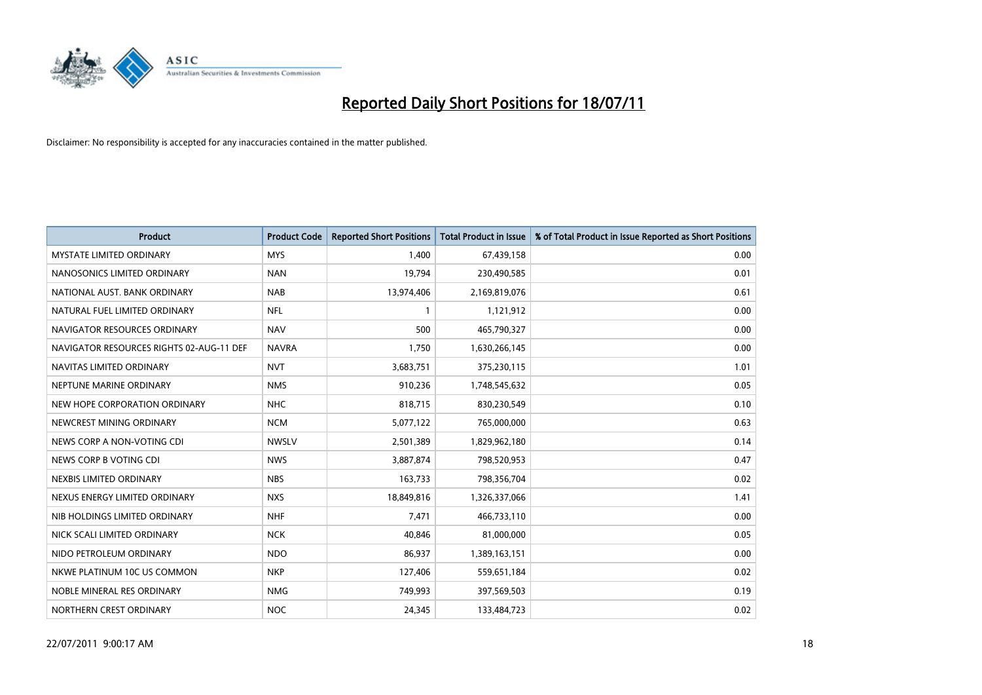

| <b>Product</b>                           | <b>Product Code</b> | <b>Reported Short Positions</b> | <b>Total Product in Issue</b> | % of Total Product in Issue Reported as Short Positions |
|------------------------------------------|---------------------|---------------------------------|-------------------------------|---------------------------------------------------------|
| <b>MYSTATE LIMITED ORDINARY</b>          | <b>MYS</b>          | 1,400                           | 67,439,158                    | 0.00                                                    |
| NANOSONICS LIMITED ORDINARY              | <b>NAN</b>          | 19,794                          | 230,490,585                   | 0.01                                                    |
| NATIONAL AUST. BANK ORDINARY             | <b>NAB</b>          | 13,974,406                      | 2,169,819,076                 | 0.61                                                    |
| NATURAL FUEL LIMITED ORDINARY            | <b>NFL</b>          | $\mathbf{1}$                    | 1,121,912                     | 0.00                                                    |
| NAVIGATOR RESOURCES ORDINARY             | <b>NAV</b>          | 500                             | 465,790,327                   | 0.00                                                    |
| NAVIGATOR RESOURCES RIGHTS 02-AUG-11 DEF | <b>NAVRA</b>        | 1,750                           | 1,630,266,145                 | 0.00                                                    |
| NAVITAS LIMITED ORDINARY                 | <b>NVT</b>          | 3,683,751                       | 375,230,115                   | 1.01                                                    |
| NEPTUNE MARINE ORDINARY                  | <b>NMS</b>          | 910,236                         | 1,748,545,632                 | 0.05                                                    |
| NEW HOPE CORPORATION ORDINARY            | <b>NHC</b>          | 818,715                         | 830,230,549                   | 0.10                                                    |
| NEWCREST MINING ORDINARY                 | <b>NCM</b>          | 5,077,122                       | 765,000,000                   | 0.63                                                    |
| NEWS CORP A NON-VOTING CDI               | <b>NWSLV</b>        | 2,501,389                       | 1,829,962,180                 | 0.14                                                    |
| NEWS CORP B VOTING CDI                   | <b>NWS</b>          | 3,887,874                       | 798,520,953                   | 0.47                                                    |
| NEXBIS LIMITED ORDINARY                  | <b>NBS</b>          | 163,733                         | 798,356,704                   | 0.02                                                    |
| NEXUS ENERGY LIMITED ORDINARY            | <b>NXS</b>          | 18,849,816                      | 1,326,337,066                 | 1.41                                                    |
| NIB HOLDINGS LIMITED ORDINARY            | <b>NHF</b>          | 7,471                           | 466,733,110                   | 0.00                                                    |
| NICK SCALI LIMITED ORDINARY              | <b>NCK</b>          | 40,846                          | 81,000,000                    | 0.05                                                    |
| NIDO PETROLEUM ORDINARY                  | <b>NDO</b>          | 86,937                          | 1,389,163,151                 | 0.00                                                    |
| NKWE PLATINUM 10C US COMMON              | <b>NKP</b>          | 127,406                         | 559,651,184                   | 0.02                                                    |
| NOBLE MINERAL RES ORDINARY               | <b>NMG</b>          | 749,993                         | 397,569,503                   | 0.19                                                    |
| NORTHERN CREST ORDINARY                  | <b>NOC</b>          | 24,345                          | 133,484,723                   | 0.02                                                    |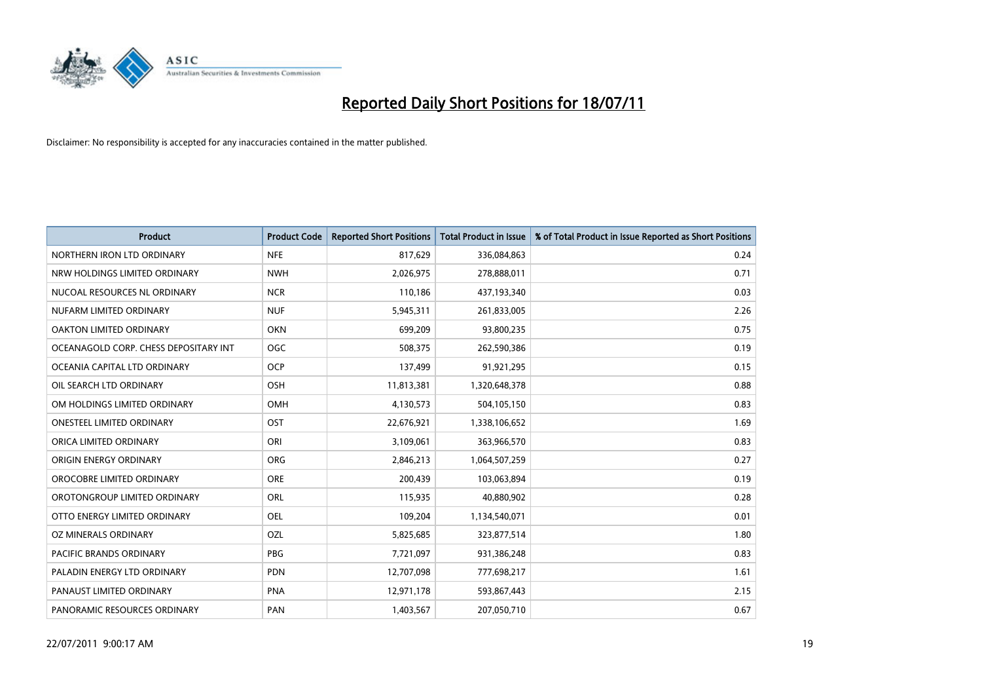

| <b>Product</b>                        | <b>Product Code</b> | <b>Reported Short Positions</b> | <b>Total Product in Issue</b> | % of Total Product in Issue Reported as Short Positions |
|---------------------------------------|---------------------|---------------------------------|-------------------------------|---------------------------------------------------------|
| NORTHERN IRON LTD ORDINARY            | <b>NFE</b>          | 817,629                         | 336,084,863                   | 0.24                                                    |
| NRW HOLDINGS LIMITED ORDINARY         | <b>NWH</b>          | 2,026,975                       | 278,888,011                   | 0.71                                                    |
| NUCOAL RESOURCES NL ORDINARY          | <b>NCR</b>          | 110,186                         | 437,193,340                   | 0.03                                                    |
| NUFARM LIMITED ORDINARY               | <b>NUF</b>          | 5,945,311                       | 261,833,005                   | 2.26                                                    |
| <b>OAKTON LIMITED ORDINARY</b>        | <b>OKN</b>          | 699,209                         | 93,800,235                    | 0.75                                                    |
| OCEANAGOLD CORP. CHESS DEPOSITARY INT | OGC                 | 508,375                         | 262,590,386                   | 0.19                                                    |
| OCEANIA CAPITAL LTD ORDINARY          | <b>OCP</b>          | 137,499                         | 91,921,295                    | 0.15                                                    |
| OIL SEARCH LTD ORDINARY               | OSH                 | 11,813,381                      | 1,320,648,378                 | 0.88                                                    |
| OM HOLDINGS LIMITED ORDINARY          | OMH                 | 4,130,573                       | 504,105,150                   | 0.83                                                    |
| <b>ONESTEEL LIMITED ORDINARY</b>      | OST                 | 22,676,921                      | 1,338,106,652                 | 1.69                                                    |
| ORICA LIMITED ORDINARY                | ORI                 | 3,109,061                       | 363,966,570                   | 0.83                                                    |
| ORIGIN ENERGY ORDINARY                | ORG                 | 2,846,213                       | 1,064,507,259                 | 0.27                                                    |
| OROCOBRE LIMITED ORDINARY             | <b>ORE</b>          | 200,439                         | 103,063,894                   | 0.19                                                    |
| OROTONGROUP LIMITED ORDINARY          | <b>ORL</b>          | 115,935                         | 40,880,902                    | 0.28                                                    |
| OTTO ENERGY LIMITED ORDINARY          | <b>OEL</b>          | 109,204                         | 1,134,540,071                 | 0.01                                                    |
| OZ MINERALS ORDINARY                  | OZL                 | 5,825,685                       | 323,877,514                   | 1.80                                                    |
| PACIFIC BRANDS ORDINARY               | PBG                 | 7,721,097                       | 931,386,248                   | 0.83                                                    |
| PALADIN ENERGY LTD ORDINARY           | <b>PDN</b>          | 12,707,098                      | 777,698,217                   | 1.61                                                    |
| PANAUST LIMITED ORDINARY              | <b>PNA</b>          | 12,971,178                      | 593,867,443                   | 2.15                                                    |
| PANORAMIC RESOURCES ORDINARY          | <b>PAN</b>          | 1,403,567                       | 207,050,710                   | 0.67                                                    |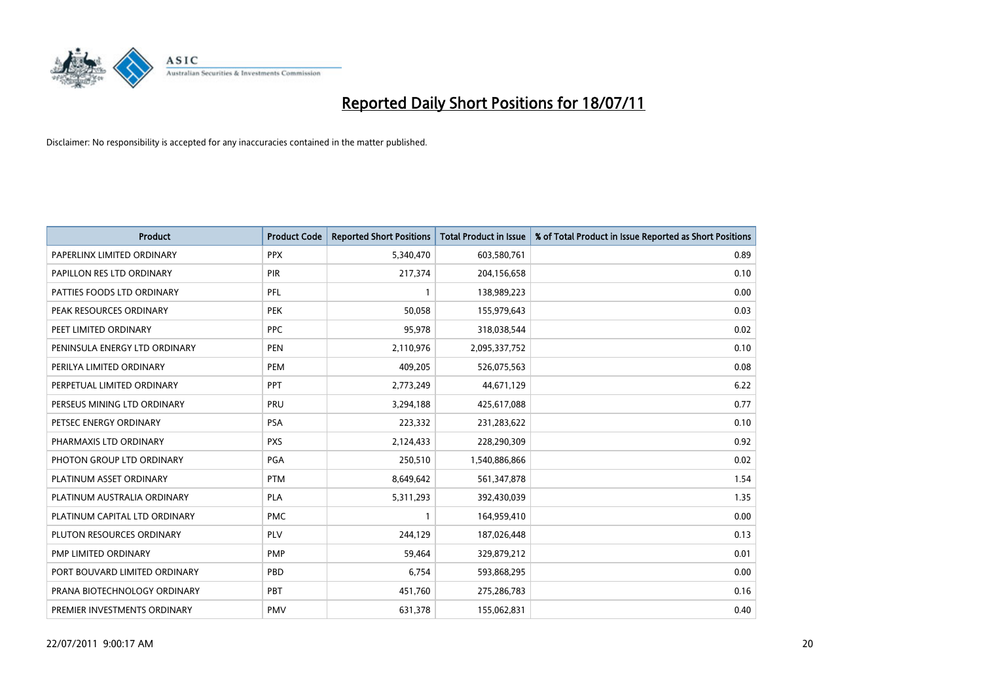

| <b>Product</b>                | <b>Product Code</b> | <b>Reported Short Positions</b> | <b>Total Product in Issue</b> | % of Total Product in Issue Reported as Short Positions |
|-------------------------------|---------------------|---------------------------------|-------------------------------|---------------------------------------------------------|
| PAPERLINX LIMITED ORDINARY    | <b>PPX</b>          | 5,340,470                       | 603,580,761                   | 0.89                                                    |
| PAPILLON RES LTD ORDINARY     | PIR                 | 217,374                         | 204,156,658                   | 0.10                                                    |
| PATTIES FOODS LTD ORDINARY    | PFL                 | $\mathbf{1}$                    | 138,989,223                   | 0.00                                                    |
| PEAK RESOURCES ORDINARY       | <b>PEK</b>          | 50,058                          | 155,979,643                   | 0.03                                                    |
| PEET LIMITED ORDINARY         | <b>PPC</b>          | 95,978                          | 318,038,544                   | 0.02                                                    |
| PENINSULA ENERGY LTD ORDINARY | <b>PEN</b>          | 2,110,976                       | 2,095,337,752                 | 0.10                                                    |
| PERILYA LIMITED ORDINARY      | <b>PEM</b>          | 409,205                         | 526,075,563                   | 0.08                                                    |
| PERPETUAL LIMITED ORDINARY    | <b>PPT</b>          | 2,773,249                       | 44,671,129                    | 6.22                                                    |
| PERSEUS MINING LTD ORDINARY   | PRU                 | 3,294,188                       | 425,617,088                   | 0.77                                                    |
| PETSEC ENERGY ORDINARY        | <b>PSA</b>          | 223,332                         | 231,283,622                   | 0.10                                                    |
| PHARMAXIS LTD ORDINARY        | <b>PXS</b>          | 2,124,433                       | 228,290,309                   | 0.92                                                    |
| PHOTON GROUP LTD ORDINARY     | PGA                 | 250,510                         | 1,540,886,866                 | 0.02                                                    |
| PLATINUM ASSET ORDINARY       | <b>PTM</b>          | 8,649,642                       | 561,347,878                   | 1.54                                                    |
| PLATINUM AUSTRALIA ORDINARY   | <b>PLA</b>          | 5,311,293                       | 392,430,039                   | 1.35                                                    |
| PLATINUM CAPITAL LTD ORDINARY | <b>PMC</b>          | $\mathbf{1}$                    | 164,959,410                   | 0.00                                                    |
| PLUTON RESOURCES ORDINARY     | <b>PLV</b>          | 244,129                         | 187,026,448                   | 0.13                                                    |
| PMP LIMITED ORDINARY          | <b>PMP</b>          | 59,464                          | 329,879,212                   | 0.01                                                    |
| PORT BOUVARD LIMITED ORDINARY | PBD                 | 6,754                           | 593,868,295                   | 0.00                                                    |
| PRANA BIOTECHNOLOGY ORDINARY  | PBT                 | 451,760                         | 275,286,783                   | 0.16                                                    |
| PREMIER INVESTMENTS ORDINARY  | <b>PMV</b>          | 631,378                         | 155,062,831                   | 0.40                                                    |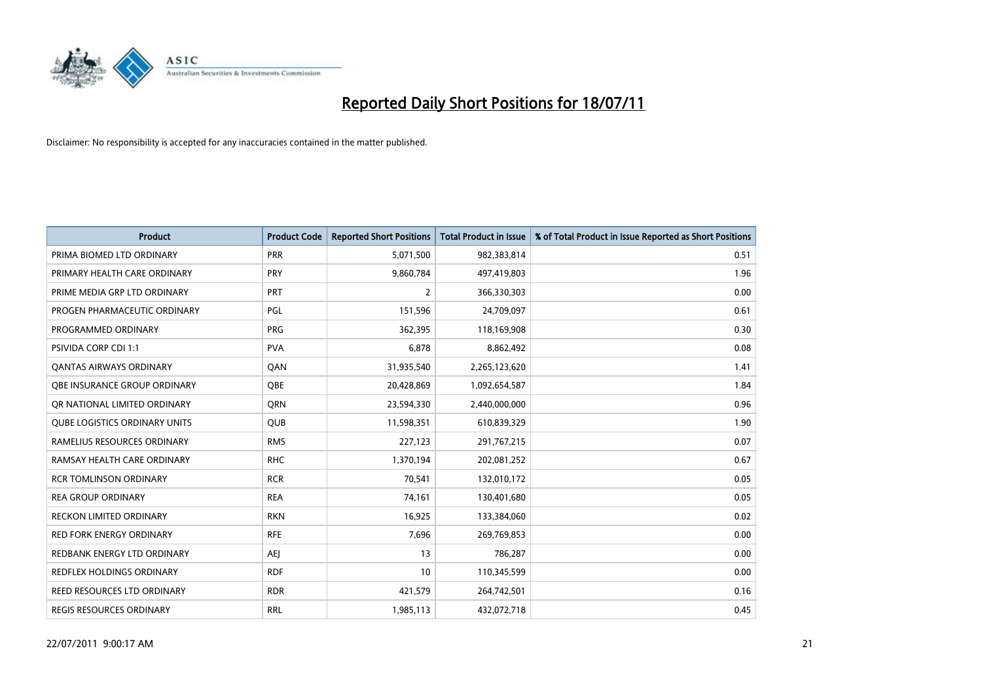

| <b>Product</b>                       | <b>Product Code</b> | <b>Reported Short Positions</b> | <b>Total Product in Issue</b> | % of Total Product in Issue Reported as Short Positions |
|--------------------------------------|---------------------|---------------------------------|-------------------------------|---------------------------------------------------------|
| PRIMA BIOMED LTD ORDINARY            | <b>PRR</b>          | 5,071,500                       | 982,383,814                   | 0.51                                                    |
| PRIMARY HEALTH CARE ORDINARY         | <b>PRY</b>          | 9,860,784                       | 497,419,803                   | 1.96                                                    |
| PRIME MEDIA GRP LTD ORDINARY         | PRT                 | $\overline{2}$                  | 366,330,303                   | 0.00                                                    |
| PROGEN PHARMACEUTIC ORDINARY         | <b>PGL</b>          | 151,596                         | 24,709,097                    | 0.61                                                    |
| PROGRAMMED ORDINARY                  | <b>PRG</b>          | 362,395                         | 118,169,908                   | 0.30                                                    |
| <b>PSIVIDA CORP CDI 1:1</b>          | <b>PVA</b>          | 6,878                           | 8,862,492                     | 0.08                                                    |
| <b>QANTAS AIRWAYS ORDINARY</b>       | QAN                 | 31,935,540                      | 2,265,123,620                 | 1.41                                                    |
| OBE INSURANCE GROUP ORDINARY         | OBE                 | 20,428,869                      | 1,092,654,587                 | 1.84                                                    |
| OR NATIONAL LIMITED ORDINARY         | <b>ORN</b>          | 23,594,330                      | 2,440,000,000                 | 0.96                                                    |
| <b>QUBE LOGISTICS ORDINARY UNITS</b> | <b>QUB</b>          | 11,598,351                      | 610,839,329                   | 1.90                                                    |
| RAMELIUS RESOURCES ORDINARY          | <b>RMS</b>          | 227,123                         | 291,767,215                   | 0.07                                                    |
| RAMSAY HEALTH CARE ORDINARY          | <b>RHC</b>          | 1,370,194                       | 202,081,252                   | 0.67                                                    |
| <b>RCR TOMLINSON ORDINARY</b>        | <b>RCR</b>          | 70,541                          | 132,010,172                   | 0.05                                                    |
| <b>REA GROUP ORDINARY</b>            | <b>REA</b>          | 74,161                          | 130,401,680                   | 0.05                                                    |
| <b>RECKON LIMITED ORDINARY</b>       | <b>RKN</b>          | 16,925                          | 133,384,060                   | 0.02                                                    |
| RED FORK ENERGY ORDINARY             | <b>RFE</b>          | 7,696                           | 269,769,853                   | 0.00                                                    |
| REDBANK ENERGY LTD ORDINARY          | AEJ                 | 13                              | 786,287                       | 0.00                                                    |
| REDFLEX HOLDINGS ORDINARY            | <b>RDF</b>          | 10                              | 110,345,599                   | 0.00                                                    |
| REED RESOURCES LTD ORDINARY          | <b>RDR</b>          | 421,579                         | 264,742,501                   | 0.16                                                    |
| REGIS RESOURCES ORDINARY             | <b>RRL</b>          | 1,985,113                       | 432,072,718                   | 0.45                                                    |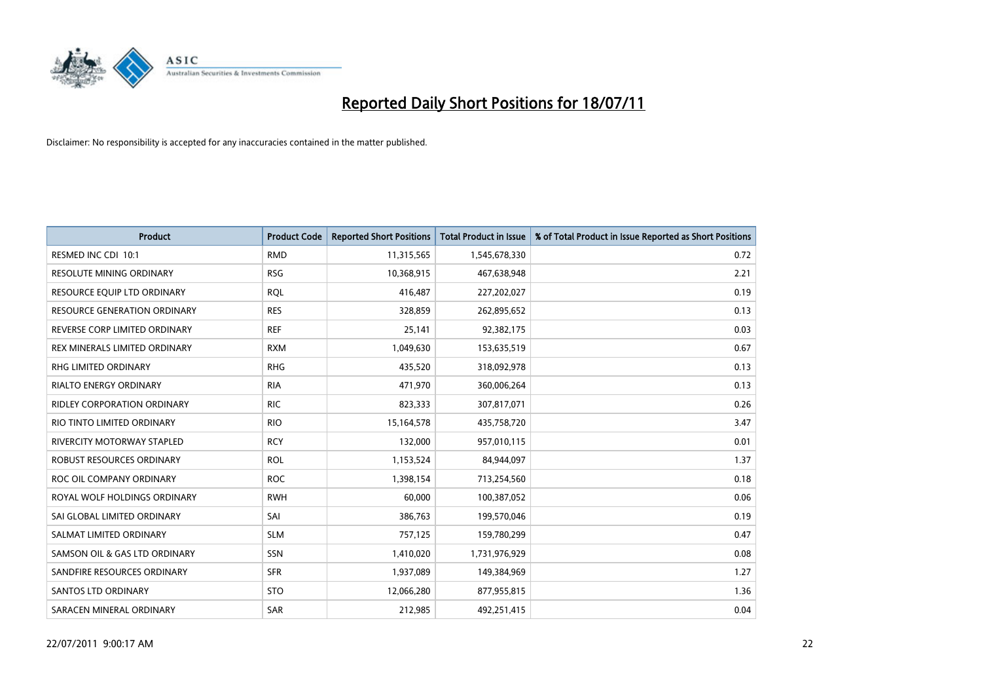

| <b>Product</b>                      | <b>Product Code</b> | <b>Reported Short Positions</b> | <b>Total Product in Issue</b> | % of Total Product in Issue Reported as Short Positions |
|-------------------------------------|---------------------|---------------------------------|-------------------------------|---------------------------------------------------------|
| RESMED INC CDI 10:1                 | <b>RMD</b>          | 11,315,565                      | 1,545,678,330                 | 0.72                                                    |
| <b>RESOLUTE MINING ORDINARY</b>     | <b>RSG</b>          | 10,368,915                      | 467,638,948                   | 2.21                                                    |
| RESOURCE EQUIP LTD ORDINARY         | <b>ROL</b>          | 416,487                         | 227,202,027                   | 0.19                                                    |
| <b>RESOURCE GENERATION ORDINARY</b> | <b>RES</b>          | 328,859                         | 262,895,652                   | 0.13                                                    |
| REVERSE CORP LIMITED ORDINARY       | <b>REF</b>          | 25,141                          | 92,382,175                    | 0.03                                                    |
| REX MINERALS LIMITED ORDINARY       | <b>RXM</b>          | 1,049,630                       | 153,635,519                   | 0.67                                                    |
| <b>RHG LIMITED ORDINARY</b>         | <b>RHG</b>          | 435,520                         | 318,092,978                   | 0.13                                                    |
| <b>RIALTO ENERGY ORDINARY</b>       | <b>RIA</b>          | 471,970                         | 360,006,264                   | 0.13                                                    |
| <b>RIDLEY CORPORATION ORDINARY</b>  | <b>RIC</b>          | 823,333                         | 307,817,071                   | 0.26                                                    |
| RIO TINTO LIMITED ORDINARY          | <b>RIO</b>          | 15,164,578                      | 435,758,720                   | 3.47                                                    |
| RIVERCITY MOTORWAY STAPLED          | <b>RCY</b>          | 132,000                         | 957,010,115                   | 0.01                                                    |
| <b>ROBUST RESOURCES ORDINARY</b>    | <b>ROL</b>          | 1,153,524                       | 84,944,097                    | 1.37                                                    |
| ROC OIL COMPANY ORDINARY            | <b>ROC</b>          | 1,398,154                       | 713,254,560                   | 0.18                                                    |
| ROYAL WOLF HOLDINGS ORDINARY        | <b>RWH</b>          | 60,000                          | 100,387,052                   | 0.06                                                    |
| SAI GLOBAL LIMITED ORDINARY         | SAI                 | 386,763                         | 199,570,046                   | 0.19                                                    |
| SALMAT LIMITED ORDINARY             | <b>SLM</b>          | 757,125                         | 159,780,299                   | 0.47                                                    |
| SAMSON OIL & GAS LTD ORDINARY       | SSN                 | 1,410,020                       | 1,731,976,929                 | 0.08                                                    |
| SANDFIRE RESOURCES ORDINARY         | <b>SFR</b>          | 1,937,089                       | 149,384,969                   | 1.27                                                    |
| SANTOS LTD ORDINARY                 | <b>STO</b>          | 12,066,280                      | 877,955,815                   | 1.36                                                    |
| SARACEN MINERAL ORDINARY            | SAR                 | 212,985                         | 492,251,415                   | 0.04                                                    |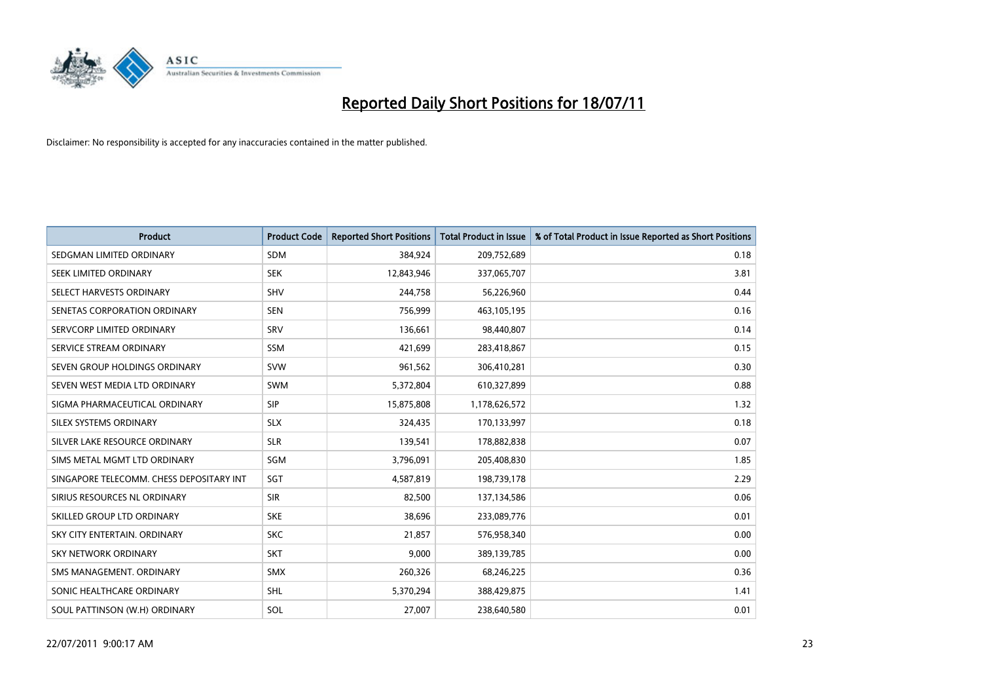

| <b>Product</b>                           | <b>Product Code</b> | <b>Reported Short Positions</b> | <b>Total Product in Issue</b> | % of Total Product in Issue Reported as Short Positions |
|------------------------------------------|---------------------|---------------------------------|-------------------------------|---------------------------------------------------------|
| SEDGMAN LIMITED ORDINARY                 | <b>SDM</b>          | 384,924                         | 209,752,689                   | 0.18                                                    |
| SEEK LIMITED ORDINARY                    | <b>SEK</b>          | 12,843,946                      | 337,065,707                   | 3.81                                                    |
| SELECT HARVESTS ORDINARY                 | <b>SHV</b>          | 244,758                         | 56,226,960                    | 0.44                                                    |
| SENETAS CORPORATION ORDINARY             | <b>SEN</b>          | 756,999                         | 463,105,195                   | 0.16                                                    |
| SERVCORP LIMITED ORDINARY                | SRV                 | 136,661                         | 98,440,807                    | 0.14                                                    |
| SERVICE STREAM ORDINARY                  | <b>SSM</b>          | 421,699                         | 283,418,867                   | 0.15                                                    |
| SEVEN GROUP HOLDINGS ORDINARY            | <b>SVW</b>          | 961,562                         | 306,410,281                   | 0.30                                                    |
| SEVEN WEST MEDIA LTD ORDINARY            | <b>SWM</b>          | 5,372,804                       | 610,327,899                   | 0.88                                                    |
| SIGMA PHARMACEUTICAL ORDINARY            | <b>SIP</b>          | 15,875,808                      | 1,178,626,572                 | 1.32                                                    |
| SILEX SYSTEMS ORDINARY                   | <b>SLX</b>          | 324,435                         | 170,133,997                   | 0.18                                                    |
| SILVER LAKE RESOURCE ORDINARY            | <b>SLR</b>          | 139,541                         | 178,882,838                   | 0.07                                                    |
| SIMS METAL MGMT LTD ORDINARY             | <b>SGM</b>          | 3,796,091                       | 205,408,830                   | 1.85                                                    |
| SINGAPORE TELECOMM. CHESS DEPOSITARY INT | SGT                 | 4,587,819                       | 198,739,178                   | 2.29                                                    |
| SIRIUS RESOURCES NL ORDINARY             | <b>SIR</b>          | 82,500                          | 137,134,586                   | 0.06                                                    |
| SKILLED GROUP LTD ORDINARY               | <b>SKE</b>          | 38,696                          | 233,089,776                   | 0.01                                                    |
| SKY CITY ENTERTAIN, ORDINARY             | <b>SKC</b>          | 21,857                          | 576,958,340                   | 0.00                                                    |
| SKY NETWORK ORDINARY                     | <b>SKT</b>          | 9,000                           | 389,139,785                   | 0.00                                                    |
| SMS MANAGEMENT, ORDINARY                 | <b>SMX</b>          | 260,326                         | 68,246,225                    | 0.36                                                    |
| SONIC HEALTHCARE ORDINARY                | <b>SHL</b>          | 5,370,294                       | 388,429,875                   | 1.41                                                    |
| SOUL PATTINSON (W.H) ORDINARY            | SOL                 | 27,007                          | 238,640,580                   | 0.01                                                    |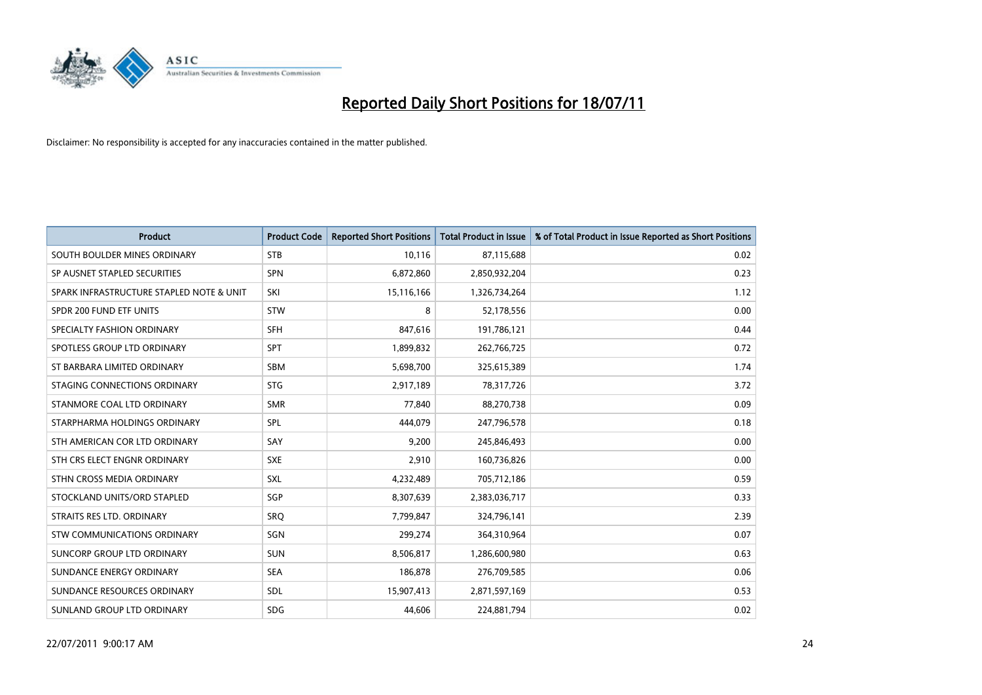

| <b>Product</b>                           | <b>Product Code</b> | <b>Reported Short Positions</b> | <b>Total Product in Issue</b> | % of Total Product in Issue Reported as Short Positions |
|------------------------------------------|---------------------|---------------------------------|-------------------------------|---------------------------------------------------------|
| SOUTH BOULDER MINES ORDINARY             | <b>STB</b>          | 10,116                          | 87,115,688                    | 0.02                                                    |
| SP AUSNET STAPLED SECURITIES             | <b>SPN</b>          | 6,872,860                       | 2,850,932,204                 | 0.23                                                    |
| SPARK INFRASTRUCTURE STAPLED NOTE & UNIT | SKI                 | 15,116,166                      | 1,326,734,264                 | 1.12                                                    |
| SPDR 200 FUND ETF UNITS                  | <b>STW</b>          | 8                               | 52,178,556                    | 0.00                                                    |
| SPECIALTY FASHION ORDINARY               | SFH                 | 847,616                         | 191,786,121                   | 0.44                                                    |
| SPOTLESS GROUP LTD ORDINARY              | <b>SPT</b>          | 1,899,832                       | 262,766,725                   | 0.72                                                    |
| ST BARBARA LIMITED ORDINARY              | <b>SBM</b>          | 5,698,700                       | 325,615,389                   | 1.74                                                    |
| STAGING CONNECTIONS ORDINARY             | <b>STG</b>          | 2,917,189                       | 78,317,726                    | 3.72                                                    |
| STANMORE COAL LTD ORDINARY               | <b>SMR</b>          | 77,840                          | 88,270,738                    | 0.09                                                    |
| STARPHARMA HOLDINGS ORDINARY             | SPL                 | 444,079                         | 247,796,578                   | 0.18                                                    |
| STH AMERICAN COR LTD ORDINARY            | SAY                 | 9,200                           | 245,846,493                   | 0.00                                                    |
| STH CRS ELECT ENGNR ORDINARY             | <b>SXE</b>          | 2,910                           | 160,736,826                   | 0.00                                                    |
| STHN CROSS MEDIA ORDINARY                | SXL                 | 4,232,489                       | 705,712,186                   | 0.59                                                    |
| STOCKLAND UNITS/ORD STAPLED              | SGP                 | 8,307,639                       | 2,383,036,717                 | 0.33                                                    |
| STRAITS RES LTD. ORDINARY                | SRQ                 | 7,799,847                       | 324,796,141                   | 2.39                                                    |
| <b>STW COMMUNICATIONS ORDINARY</b>       | SGN                 | 299,274                         | 364,310,964                   | 0.07                                                    |
| <b>SUNCORP GROUP LTD ORDINARY</b>        | <b>SUN</b>          | 8,506,817                       | 1,286,600,980                 | 0.63                                                    |
| SUNDANCE ENERGY ORDINARY                 | <b>SEA</b>          | 186,878                         | 276,709,585                   | 0.06                                                    |
| SUNDANCE RESOURCES ORDINARY              | SDL                 | 15,907,413                      | 2,871,597,169                 | 0.53                                                    |
| SUNLAND GROUP LTD ORDINARY               | <b>SDG</b>          | 44,606                          | 224,881,794                   | 0.02                                                    |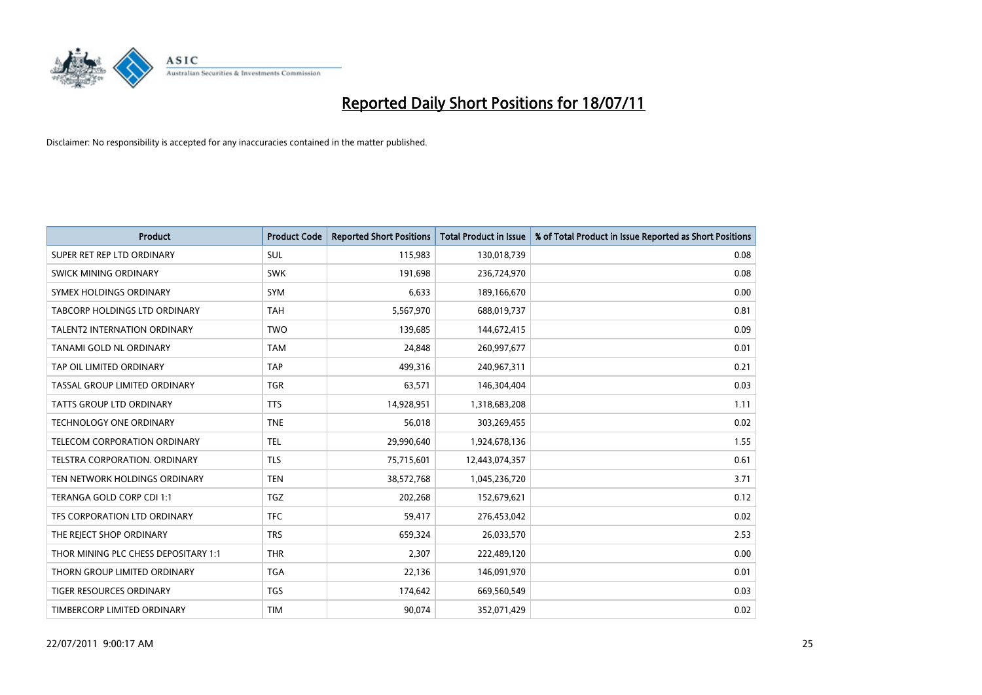

| Product                              | <b>Product Code</b> | <b>Reported Short Positions</b> | <b>Total Product in Issue</b> | % of Total Product in Issue Reported as Short Positions |
|--------------------------------------|---------------------|---------------------------------|-------------------------------|---------------------------------------------------------|
| SUPER RET REP LTD ORDINARY           | SUL                 | 115,983                         | 130,018,739                   | 0.08                                                    |
| SWICK MINING ORDINARY                | <b>SWK</b>          | 191,698                         | 236,724,970                   | 0.08                                                    |
| SYMEX HOLDINGS ORDINARY              | <b>SYM</b>          | 6,633                           | 189,166,670                   | 0.00                                                    |
| TABCORP HOLDINGS LTD ORDINARY        | <b>TAH</b>          | 5,567,970                       | 688,019,737                   | 0.81                                                    |
| <b>TALENT2 INTERNATION ORDINARY</b>  | <b>TWO</b>          | 139,685                         | 144,672,415                   | 0.09                                                    |
| TANAMI GOLD NL ORDINARY              | <b>TAM</b>          | 24,848                          | 260,997,677                   | 0.01                                                    |
| TAP OIL LIMITED ORDINARY             | <b>TAP</b>          | 499,316                         | 240,967,311                   | 0.21                                                    |
| TASSAL GROUP LIMITED ORDINARY        | <b>TGR</b>          | 63,571                          | 146,304,404                   | 0.03                                                    |
| TATTS GROUP LTD ORDINARY             | <b>TTS</b>          | 14,928,951                      | 1,318,683,208                 | 1.11                                                    |
| TECHNOLOGY ONE ORDINARY              | <b>TNE</b>          | 56,018                          | 303,269,455                   | 0.02                                                    |
| TELECOM CORPORATION ORDINARY         | <b>TEL</b>          | 29,990,640                      | 1,924,678,136                 | 1.55                                                    |
| TELSTRA CORPORATION, ORDINARY        | <b>TLS</b>          | 75,715,601                      | 12,443,074,357                | 0.61                                                    |
| TEN NETWORK HOLDINGS ORDINARY        | <b>TEN</b>          | 38,572,768                      | 1,045,236,720                 | 3.71                                                    |
| TERANGA GOLD CORP CDI 1:1            | <b>TGZ</b>          | 202,268                         | 152,679,621                   | 0.12                                                    |
| TFS CORPORATION LTD ORDINARY         | <b>TFC</b>          | 59,417                          | 276,453,042                   | 0.02                                                    |
| THE REJECT SHOP ORDINARY             | <b>TRS</b>          | 659,324                         | 26,033,570                    | 2.53                                                    |
| THOR MINING PLC CHESS DEPOSITARY 1:1 | <b>THR</b>          | 2,307                           | 222,489,120                   | 0.00                                                    |
| THORN GROUP LIMITED ORDINARY         | <b>TGA</b>          | 22,136                          | 146,091,970                   | 0.01                                                    |
| TIGER RESOURCES ORDINARY             | <b>TGS</b>          | 174,642                         | 669,560,549                   | 0.03                                                    |
| TIMBERCORP LIMITED ORDINARY          | <b>TIM</b>          | 90,074                          | 352,071,429                   | 0.02                                                    |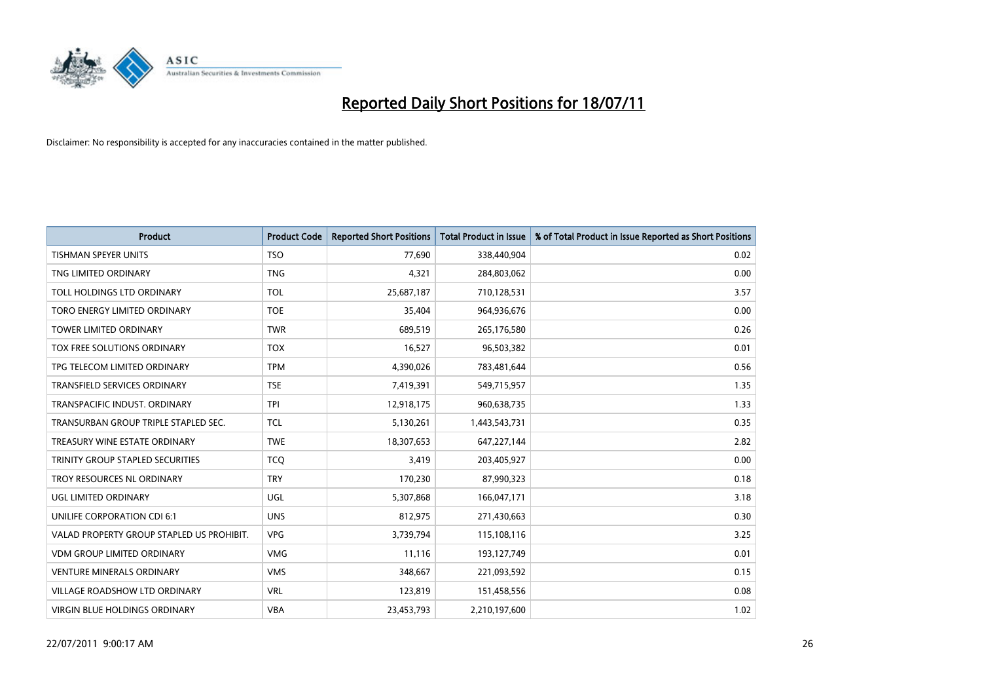

| <b>Product</b>                            | <b>Product Code</b> | <b>Reported Short Positions</b> | <b>Total Product in Issue</b> | % of Total Product in Issue Reported as Short Positions |
|-------------------------------------------|---------------------|---------------------------------|-------------------------------|---------------------------------------------------------|
| <b>TISHMAN SPEYER UNITS</b>               | <b>TSO</b>          | 77,690                          | 338,440,904                   | 0.02                                                    |
| TNG LIMITED ORDINARY                      | <b>TNG</b>          | 4,321                           | 284,803,062                   | 0.00                                                    |
| TOLL HOLDINGS LTD ORDINARY                | <b>TOL</b>          | 25,687,187                      | 710,128,531                   | 3.57                                                    |
| TORO ENERGY LIMITED ORDINARY              | <b>TOE</b>          | 35,404                          | 964,936,676                   | 0.00                                                    |
| <b>TOWER LIMITED ORDINARY</b>             | <b>TWR</b>          | 689,519                         | 265,176,580                   | 0.26                                                    |
| <b>TOX FREE SOLUTIONS ORDINARY</b>        | <b>TOX</b>          | 16,527                          | 96,503,382                    | 0.01                                                    |
| TPG TELECOM LIMITED ORDINARY              | <b>TPM</b>          | 4,390,026                       | 783,481,644                   | 0.56                                                    |
| TRANSFIELD SERVICES ORDINARY              | <b>TSE</b>          | 7,419,391                       | 549,715,957                   | 1.35                                                    |
| TRANSPACIFIC INDUST, ORDINARY             | <b>TPI</b>          | 12,918,175                      | 960,638,735                   | 1.33                                                    |
| TRANSURBAN GROUP TRIPLE STAPLED SEC.      | <b>TCL</b>          | 5,130,261                       | 1,443,543,731                 | 0.35                                                    |
| TREASURY WINE ESTATE ORDINARY             | <b>TWE</b>          | 18,307,653                      | 647,227,144                   | 2.82                                                    |
| <b>TRINITY GROUP STAPLED SECURITIES</b>   | <b>TCQ</b>          | 3,419                           | 203,405,927                   | 0.00                                                    |
| TROY RESOURCES NL ORDINARY                | <b>TRY</b>          | 170,230                         | 87,990,323                    | 0.18                                                    |
| UGL LIMITED ORDINARY                      | UGL                 | 5,307,868                       | 166,047,171                   | 3.18                                                    |
| UNILIFE CORPORATION CDI 6:1               | <b>UNS</b>          | 812,975                         | 271,430,663                   | 0.30                                                    |
| VALAD PROPERTY GROUP STAPLED US PROHIBIT. | <b>VPG</b>          | 3,739,794                       | 115,108,116                   | 3.25                                                    |
| VDM GROUP LIMITED ORDINARY                | <b>VMG</b>          | 11,116                          | 193,127,749                   | 0.01                                                    |
| <b>VENTURE MINERALS ORDINARY</b>          | <b>VMS</b>          | 348,667                         | 221,093,592                   | 0.15                                                    |
| <b>VILLAGE ROADSHOW LTD ORDINARY</b>      | <b>VRL</b>          | 123,819                         | 151,458,556                   | 0.08                                                    |
| VIRGIN BLUE HOLDINGS ORDINARY             | <b>VBA</b>          | 23,453,793                      | 2,210,197,600                 | 1.02                                                    |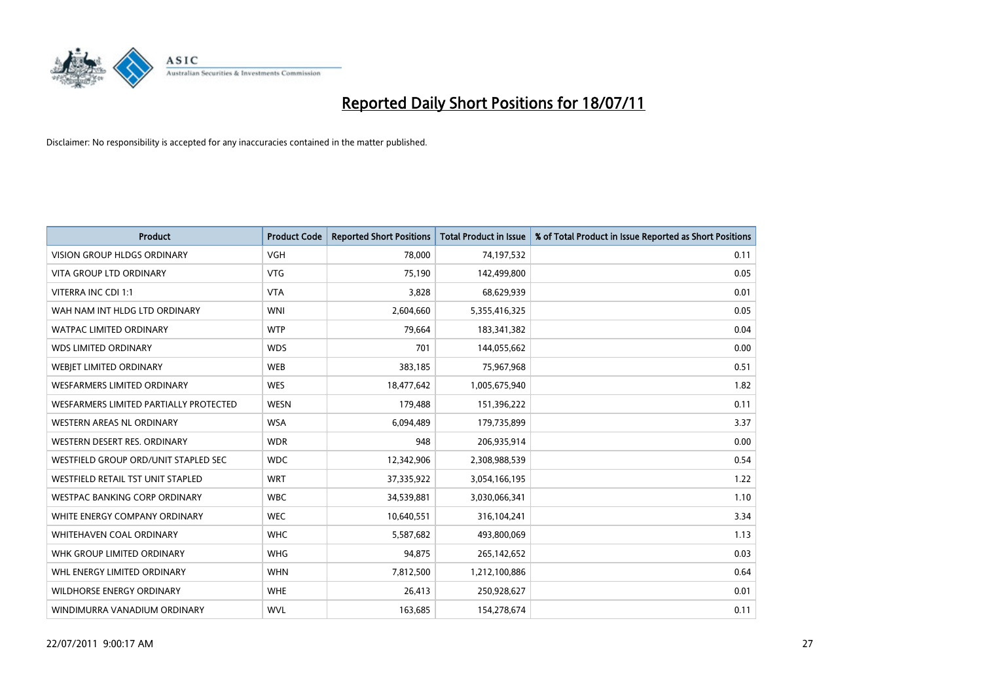

| <b>Product</b>                         | <b>Product Code</b> | <b>Reported Short Positions</b> | <b>Total Product in Issue</b> | % of Total Product in Issue Reported as Short Positions |
|----------------------------------------|---------------------|---------------------------------|-------------------------------|---------------------------------------------------------|
| <b>VISION GROUP HLDGS ORDINARY</b>     | <b>VGH</b>          | 78,000                          | 74,197,532                    | 0.11                                                    |
| <b>VITA GROUP LTD ORDINARY</b>         | <b>VTG</b>          | 75,190                          | 142,499,800                   | 0.05                                                    |
| VITERRA INC CDI 1:1                    | <b>VTA</b>          | 3,828                           | 68,629,939                    | 0.01                                                    |
| WAH NAM INT HLDG LTD ORDINARY          | <b>WNI</b>          | 2,604,660                       | 5,355,416,325                 | 0.05                                                    |
| <b>WATPAC LIMITED ORDINARY</b>         | <b>WTP</b>          | 79,664                          | 183,341,382                   | 0.04                                                    |
| <b>WDS LIMITED ORDINARY</b>            | <b>WDS</b>          | 701                             | 144,055,662                   | 0.00                                                    |
| WEBJET LIMITED ORDINARY                | <b>WEB</b>          | 383,185                         | 75,967,968                    | 0.51                                                    |
| <b>WESFARMERS LIMITED ORDINARY</b>     | <b>WES</b>          | 18,477,642                      | 1,005,675,940                 | 1.82                                                    |
| WESFARMERS LIMITED PARTIALLY PROTECTED | <b>WESN</b>         | 179,488                         | 151,396,222                   | 0.11                                                    |
| <b>WESTERN AREAS NL ORDINARY</b>       | <b>WSA</b>          | 6,094,489                       | 179,735,899                   | 3.37                                                    |
| WESTERN DESERT RES. ORDINARY           | <b>WDR</b>          | 948                             | 206,935,914                   | 0.00                                                    |
| WESTFIELD GROUP ORD/UNIT STAPLED SEC   | <b>WDC</b>          | 12,342,906                      | 2,308,988,539                 | 0.54                                                    |
| WESTFIELD RETAIL TST UNIT STAPLED      | <b>WRT</b>          | 37,335,922                      | 3,054,166,195                 | 1.22                                                    |
| <b>WESTPAC BANKING CORP ORDINARY</b>   | <b>WBC</b>          | 34,539,881                      | 3,030,066,341                 | 1.10                                                    |
| WHITE ENERGY COMPANY ORDINARY          | <b>WEC</b>          | 10,640,551                      | 316,104,241                   | 3.34                                                    |
| <b>WHITEHAVEN COAL ORDINARY</b>        | <b>WHC</b>          | 5,587,682                       | 493,800,069                   | 1.13                                                    |
| WHK GROUP LIMITED ORDINARY             | <b>WHG</b>          | 94,875                          | 265,142,652                   | 0.03                                                    |
| WHL ENERGY LIMITED ORDINARY            | <b>WHN</b>          | 7,812,500                       | 1,212,100,886                 | 0.64                                                    |
| <b>WILDHORSE ENERGY ORDINARY</b>       | <b>WHE</b>          | 26,413                          | 250,928,627                   | 0.01                                                    |
| WINDIMURRA VANADIUM ORDINARY           | <b>WVL</b>          | 163,685                         | 154,278,674                   | 0.11                                                    |